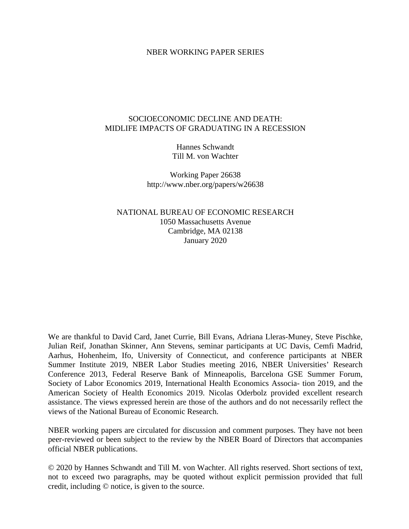#### NBER WORKING PAPER SERIES

## SOCIOECONOMIC DECLINE AND DEATH: MIDLIFE IMPACTS OF GRADUATING IN A RECESSION

Hannes Schwandt Till M. von Wachter

Working Paper 26638 http://www.nber.org/papers/w26638

NATIONAL BUREAU OF ECONOMIC RESEARCH 1050 Massachusetts Avenue Cambridge, MA 02138 January 2020

We are thankful to David Card, Janet Currie, Bill Evans, Adriana Lleras-Muney, Steve Pischke, Julian Reif, Jonathan Skinner, Ann Stevens, seminar participants at UC Davis, Cemfi Madrid, Aarhus, Hohenheim, Ifo, University of Connecticut, and conference participants at NBER Summer Institute 2019, NBER Labor Studies meeting 2016, NBER Universities' Research Conference 2013, Federal Reserve Bank of Minneapolis, Barcelona GSE Summer Forum, Society of Labor Economics 2019, International Health Economics Associa- tion 2019, and the American Society of Health Economics 2019. Nicolas Oderbolz provided excellent research assistance. The views expressed herein are those of the authors and do not necessarily reflect the views of the National Bureau of Economic Research.

NBER working papers are circulated for discussion and comment purposes. They have not been peer-reviewed or been subject to the review by the NBER Board of Directors that accompanies official NBER publications.

© 2020 by Hannes Schwandt and Till M. von Wachter. All rights reserved. Short sections of text, not to exceed two paragraphs, may be quoted without explicit permission provided that full credit, including © notice, is given to the source.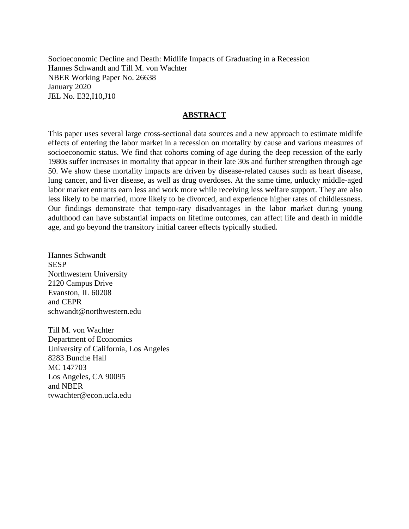Socioeconomic Decline and Death: Midlife Impacts of Graduating in a Recession Hannes Schwandt and Till M. von Wachter NBER Working Paper No. 26638 January 2020 JEL No. E32,I10,J10

# **ABSTRACT**

This paper uses several large cross-sectional data sources and a new approach to estimate midlife effects of entering the labor market in a recession on mortality by cause and various measures of socioeconomic status. We find that cohorts coming of age during the deep recession of the early 1980s suffer increases in mortality that appear in their late 30s and further strengthen through age 50. We show these mortality impacts are driven by disease-related causes such as heart disease, lung cancer, and liver disease, as well as drug overdoses. At the same time, unlucky middle-aged labor market entrants earn less and work more while receiving less welfare support. They are also less likely to be married, more likely to be divorced, and experience higher rates of childlessness. Our findings demonstrate that tempo-rary disadvantages in the labor market during young adulthood can have substantial impacts on lifetime outcomes, can affect life and death in middle age, and go beyond the transitory initial career effects typically studied.

Hannes Schwandt **SESP** Northwestern University 2120 Campus Drive Evanston, IL 60208 and CEPR schwandt@northwestern.edu

Till M. von Wachter Department of Economics University of California, Los Angeles 8283 Bunche Hall MC 147703 Los Angeles, CA 90095 and NBER tvwachter@econ.ucla.edu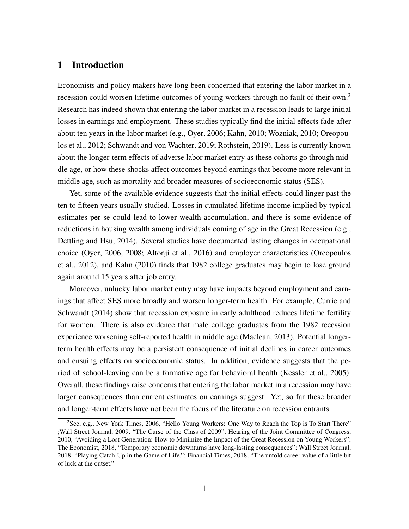# 1 Introduction

Economists and policy makers have long been concerned that entering the labor market in a recession could worsen lifetime outcomes of young workers through no fault of their own.<sup>2</sup> Research has indeed shown that entering the labor market in a recession leads to large initial losses in earnings and employment. These studies typically find the initial effects fade after about ten years in the labor market (e.g., Oyer, 2006; Kahn, 2010; Wozniak, 2010; Oreopoulos et al., 2012; Schwandt and von Wachter, 2019; Rothstein, 2019). Less is currently known about the longer-term effects of adverse labor market entry as these cohorts go through middle age, or how these shocks affect outcomes beyond earnings that become more relevant in middle age, such as mortality and broader measures of socioeconomic status (SES).

Yet, some of the available evidence suggests that the initial effects could linger past the ten to fifteen years usually studied. Losses in cumulated lifetime income implied by typical estimates per se could lead to lower wealth accumulation, and there is some evidence of reductions in housing wealth among individuals coming of age in the Great Recession (e.g., Dettling and Hsu, 2014). Several studies have documented lasting changes in occupational choice (Oyer, 2006, 2008; Altonji et al., 2016) and employer characteristics (Oreopoulos et al., 2012), and Kahn (2010) finds that 1982 college graduates may begin to lose ground again around 15 years after job entry.

Moreover, unlucky labor market entry may have impacts beyond employment and earnings that affect SES more broadly and worsen longer-term health. For example, Currie and Schwandt (2014) show that recession exposure in early adulthood reduces lifetime fertility for women. There is also evidence that male college graduates from the 1982 recession experience worsening self-reported health in middle age (Maclean, 2013). Potential longerterm health effects may be a persistent consequence of initial declines in career outcomes and ensuing effects on socioeconomic status. In addition, evidence suggests that the period of school-leaving can be a formative age for behavioral health (Kessler et al., 2005). Overall, these findings raise concerns that entering the labor market in a recession may have larger consequences than current estimates on earnings suggest. Yet, so far these broader and longer-term effects have not been the focus of the literature on recession entrants.

<sup>&</sup>lt;sup>2</sup>See, e.g., New York Times, 2006, "Hello Young Workers: One Way to Reach the Top is To Start There" ;Wall Street Journal, 2009, "The Curse of the Class of 2009"; Hearing of the Joint Committee of Congress, 2010, "Avoiding a Lost Generation: How to Minimize the Impact of the Great Recession on Young Workers"; The Economist, 2018, "Temporary economic downturns have long-lasting consequences"; Wall Street Journal, 2018, "Playing Catch-Up in the Game of Life,"; Financial Times, 2018, "The untold career value of a little bit of luck at the outset."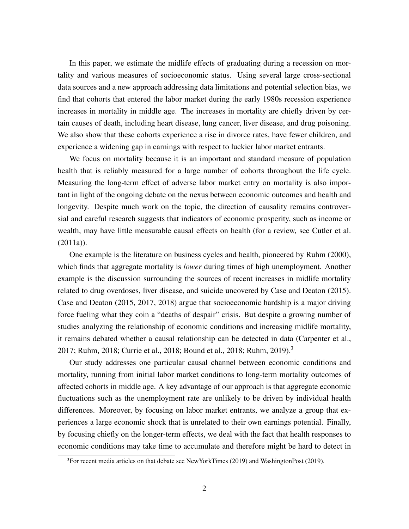In this paper, we estimate the midlife effects of graduating during a recession on mortality and various measures of socioeconomic status. Using several large cross-sectional data sources and a new approach addressing data limitations and potential selection bias, we find that cohorts that entered the labor market during the early 1980s recession experience increases in mortality in middle age. The increases in mortality are chiefly driven by certain causes of death, including heart disease, lung cancer, liver disease, and drug poisoning. We also show that these cohorts experience a rise in divorce rates, have fewer children, and experience a widening gap in earnings with respect to luckier labor market entrants.

We focus on mortality because it is an important and standard measure of population health that is reliably measured for a large number of cohorts throughout the life cycle. Measuring the long-term effect of adverse labor market entry on mortality is also important in light of the ongoing debate on the nexus between economic outcomes and health and longevity. Despite much work on the topic, the direction of causality remains controversial and careful research suggests that indicators of economic prosperity, such as income or wealth, may have little measurable causal effects on health (for a review, see Cutler et al.  $(2011a)$ .

One example is the literature on business cycles and health, pioneered by Ruhm (2000), which finds that aggregate mortality is *lower* during times of high unemployment. Another example is the discussion surrounding the sources of recent increases in midlife mortality related to drug overdoses, liver disease, and suicide uncovered by Case and Deaton (2015). Case and Deaton (2015, 2017, 2018) argue that socioeconomic hardship is a major driving force fueling what they coin a "deaths of despair" crisis. But despite a growing number of studies analyzing the relationship of economic conditions and increasing midlife mortality, it remains debated whether a causal relationship can be detected in data (Carpenter et al., 2017; Ruhm, 2018; Currie et al., 2018; Bound et al., 2018; Ruhm, 2019).<sup>3</sup>

Our study addresses one particular causal channel between economic conditions and mortality, running from initial labor market conditions to long-term mortality outcomes of affected cohorts in middle age. A key advantage of our approach is that aggregate economic fluctuations such as the unemployment rate are unlikely to be driven by individual health differences. Moreover, by focusing on labor market entrants, we analyze a group that experiences a large economic shock that is unrelated to their own earnings potential. Finally, by focusing chiefly on the longer-term effects, we deal with the fact that health responses to economic conditions may take time to accumulate and therefore might be hard to detect in

 $3$ For recent media articles on that debate see NewYorkTimes (2019) and WashingtonPost (2019).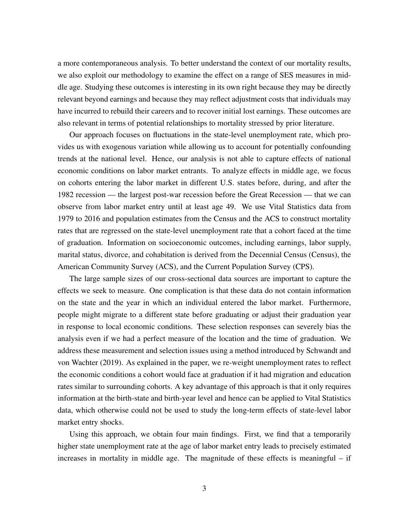a more contemporaneous analysis. To better understand the context of our mortality results, we also exploit our methodology to examine the effect on a range of SES measures in middle age. Studying these outcomes is interesting in its own right because they may be directly relevant beyond earnings and because they may reflect adjustment costs that individuals may have incurred to rebuild their careers and to recover initial lost earnings. These outcomes are also relevant in terms of potential relationships to mortality stressed by prior literature.

Our approach focuses on fluctuations in the state-level unemployment rate, which provides us with exogenous variation while allowing us to account for potentially confounding trends at the national level. Hence, our analysis is not able to capture effects of national economic conditions on labor market entrants. To analyze effects in middle age, we focus on cohorts entering the labor market in different U.S. states before, during, and after the 1982 recession — the largest post-war recession before the Great Recession — that we can observe from labor market entry until at least age 49. We use Vital Statistics data from 1979 to 2016 and population estimates from the Census and the ACS to construct mortality rates that are regressed on the state-level unemployment rate that a cohort faced at the time of graduation. Information on socioeconomic outcomes, including earnings, labor supply, marital status, divorce, and cohabitation is derived from the Decennial Census (Census), the American Community Survey (ACS), and the Current Population Survey (CPS).

The large sample sizes of our cross-sectional data sources are important to capture the effects we seek to measure. One complication is that these data do not contain information on the state and the year in which an individual entered the labor market. Furthermore, people might migrate to a different state before graduating or adjust their graduation year in response to local economic conditions. These selection responses can severely bias the analysis even if we had a perfect measure of the location and the time of graduation. We address these measurement and selection issues using a method introduced by Schwandt and von Wachter (2019). As explained in the paper, we re-weight unemployment rates to reflect the economic conditions a cohort would face at graduation if it had migration and education rates similar to surrounding cohorts. A key advantage of this approach is that it only requires information at the birth-state and birth-year level and hence can be applied to Vital Statistics data, which otherwise could not be used to study the long-term effects of state-level labor market entry shocks.

Using this approach, we obtain four main findings. First, we find that a temporarily higher state unemployment rate at the age of labor market entry leads to precisely estimated increases in mortality in middle age. The magnitude of these effects is meaningful – if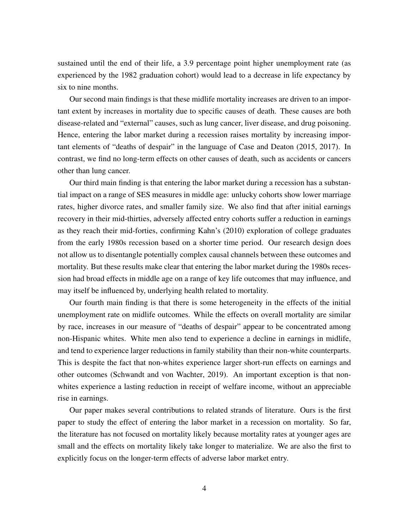sustained until the end of their life, a 3.9 percentage point higher unemployment rate (as experienced by the 1982 graduation cohort) would lead to a decrease in life expectancy by six to nine months.

Our second main findings is that these midlife mortality increases are driven to an important extent by increases in mortality due to specific causes of death. These causes are both disease-related and "external" causes, such as lung cancer, liver disease, and drug poisoning. Hence, entering the labor market during a recession raises mortality by increasing important elements of "deaths of despair" in the language of Case and Deaton (2015, 2017). In contrast, we find no long-term effects on other causes of death, such as accidents or cancers other than lung cancer.

Our third main finding is that entering the labor market during a recession has a substantial impact on a range of SES measures in middle age: unlucky cohorts show lower marriage rates, higher divorce rates, and smaller family size. We also find that after initial earnings recovery in their mid-thirties, adversely affected entry cohorts suffer a reduction in earnings as they reach their mid-forties, confirming Kahn's (2010) exploration of college graduates from the early 1980s recession based on a shorter time period. Our research design does not allow us to disentangle potentially complex causal channels between these outcomes and mortality. But these results make clear that entering the labor market during the 1980s recession had broad effects in middle age on a range of key life outcomes that may influence, and may itself be influenced by, underlying health related to mortality.

Our fourth main finding is that there is some heterogeneity in the effects of the initial unemployment rate on midlife outcomes. While the effects on overall mortality are similar by race, increases in our measure of "deaths of despair" appear to be concentrated among non-Hispanic whites. White men also tend to experience a decline in earnings in midlife, and tend to experience larger reductions in family stability than their non-white counterparts. This is despite the fact that non-whites experience larger short-run effects on earnings and other outcomes (Schwandt and von Wachter, 2019). An important exception is that nonwhites experience a lasting reduction in receipt of welfare income, without an appreciable rise in earnings.

Our paper makes several contributions to related strands of literature. Ours is the first paper to study the effect of entering the labor market in a recession on mortality. So far, the literature has not focused on mortality likely because mortality rates at younger ages are small and the effects on mortality likely take longer to materialize. We are also the first to explicitly focus on the longer-term effects of adverse labor market entry.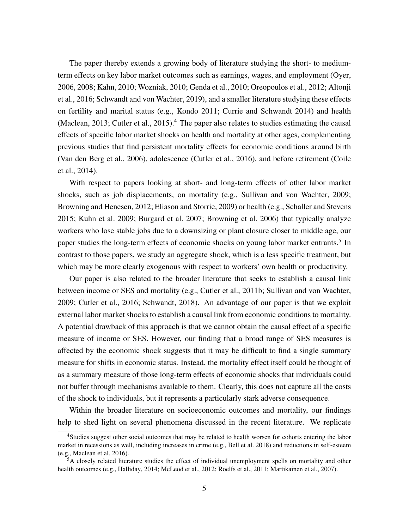The paper thereby extends a growing body of literature studying the short- to mediumterm effects on key labor market outcomes such as earnings, wages, and employment (Oyer, 2006, 2008; Kahn, 2010; Wozniak, 2010; Genda et al., 2010; Oreopoulos et al., 2012; Altonji et al., 2016; Schwandt and von Wachter, 2019), and a smaller literature studying these effects on fertility and marital status (e.g., Kondo 2011; Currie and Schwandt 2014) and health (Maclean, 2013; Cutler et al., 2015).<sup>4</sup> The paper also relates to studies estimating the causal effects of specific labor market shocks on health and mortality at other ages, complementing previous studies that find persistent mortality effects for economic conditions around birth (Van den Berg et al., 2006), adolescence (Cutler et al., 2016), and before retirement (Coile et al., 2014).

With respect to papers looking at short- and long-term effects of other labor market shocks, such as job displacements, on mortality (e.g., Sullivan and von Wachter, 2009; Browning and Henesen, 2012; Eliason and Storrie, 2009) or health (e.g., Schaller and Stevens 2015; Kuhn et al. 2009; Burgard et al. 2007; Browning et al. 2006) that typically analyze workers who lose stable jobs due to a downsizing or plant closure closer to middle age, our paper studies the long-term effects of economic shocks on young labor market entrants.<sup>5</sup> In contrast to those papers, we study an aggregate shock, which is a less specific treatment, but which may be more clearly exogenous with respect to workers' own health or productivity.

Our paper is also related to the broader literature that seeks to establish a causal link between income or SES and mortality (e.g., Cutler et al., 2011b; Sullivan and von Wachter, 2009; Cutler et al., 2016; Schwandt, 2018). An advantage of our paper is that we exploit external labor market shocks to establish a causal link from economic conditions to mortality. A potential drawback of this approach is that we cannot obtain the causal effect of a specific measure of income or SES. However, our finding that a broad range of SES measures is affected by the economic shock suggests that it may be difficult to find a single summary measure for shifts in economic status. Instead, the mortality effect itself could be thought of as a summary measure of those long-term effects of economic shocks that individuals could not buffer through mechanisms available to them. Clearly, this does not capture all the costs of the shock to individuals, but it represents a particularly stark adverse consequence.

Within the broader literature on socioeconomic outcomes and mortality, our findings help to shed light on several phenomena discussed in the recent literature. We replicate

<sup>&</sup>lt;sup>4</sup>Studies suggest other social outcomes that may be related to health worsen for cohorts entering the labor market in recessions as well, including increases in crime (e.g., Bell et al. 2018) and reductions in self-esteem (e.g., Maclean et al. 2016).

 ${}^{5}A$  closely related literature studies the effect of individual unemployment spells on mortality and other health outcomes (e.g., Halliday, 2014; McLeod et al., 2012; Roelfs et al., 2011; Martikainen et al., 2007).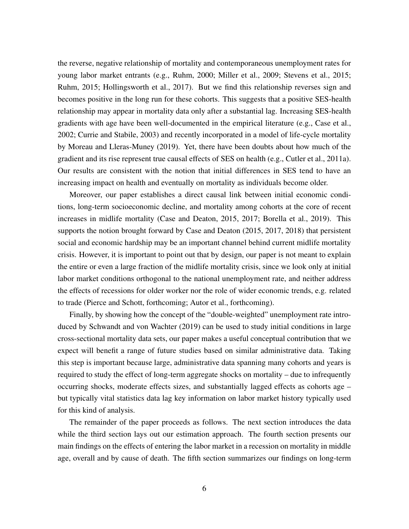the reverse, negative relationship of mortality and contemporaneous unemployment rates for young labor market entrants (e.g., Ruhm, 2000; Miller et al., 2009; Stevens et al., 2015; Ruhm, 2015; Hollingsworth et al., 2017). But we find this relationship reverses sign and becomes positive in the long run for these cohorts. This suggests that a positive SES-health relationship may appear in mortality data only after a substantial lag. Increasing SES-health gradients with age have been well-documented in the empirical literature (e.g., Case et al., 2002; Currie and Stabile, 2003) and recently incorporated in a model of life-cycle mortality by Moreau and Lleras-Muney (2019). Yet, there have been doubts about how much of the gradient and its rise represent true causal effects of SES on health (e.g., Cutler et al., 2011a). Our results are consistent with the notion that initial differences in SES tend to have an increasing impact on health and eventually on mortality as individuals become older.

Moreover, our paper establishes a direct causal link between initial economic conditions, long-term socioeconomic decline, and mortality among cohorts at the core of recent increases in midlife mortality (Case and Deaton, 2015, 2017; Borella et al., 2019). This supports the notion brought forward by Case and Deaton (2015, 2017, 2018) that persistent social and economic hardship may be an important channel behind current midlife mortality crisis. However, it is important to point out that by design, our paper is not meant to explain the entire or even a large fraction of the midlife mortality crisis, since we look only at initial labor market conditions orthogonal to the national unemployment rate, and neither address the effects of recessions for older worker nor the role of wider economic trends, e.g. related to trade (Pierce and Schott, forthcoming; Autor et al., forthcoming).

Finally, by showing how the concept of the "double-weighted" unemployment rate introduced by Schwandt and von Wachter (2019) can be used to study initial conditions in large cross-sectional mortality data sets, our paper makes a useful conceptual contribution that we expect will benefit a range of future studies based on similar administrative data. Taking this step is important because large, administrative data spanning many cohorts and years is required to study the effect of long-term aggregate shocks on mortality – due to infrequently occurring shocks, moderate effects sizes, and substantially lagged effects as cohorts age – but typically vital statistics data lag key information on labor market history typically used for this kind of analysis.

The remainder of the paper proceeds as follows. The next section introduces the data while the third section lays out our estimation approach. The fourth section presents our main findings on the effects of entering the labor market in a recession on mortality in middle age, overall and by cause of death. The fifth section summarizes our findings on long-term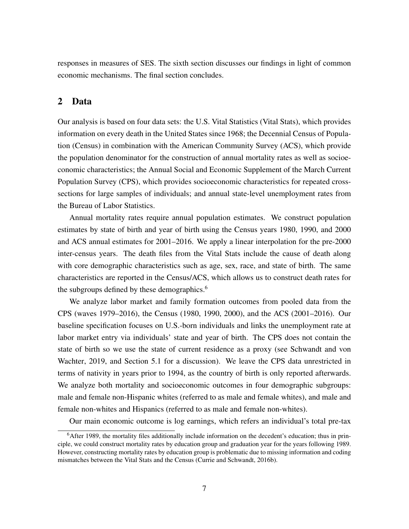responses in measures of SES. The sixth section discusses our findings in light of common economic mechanisms. The final section concludes.

# 2 Data

Our analysis is based on four data sets: the U.S. Vital Statistics (Vital Stats), which provides information on every death in the United States since 1968; the Decennial Census of Population (Census) in combination with the American Community Survey (ACS), which provide the population denominator for the construction of annual mortality rates as well as socioeconomic characteristics; the Annual Social and Economic Supplement of the March Current Population Survey (CPS), which provides socioeconomic characteristics for repeated crosssections for large samples of individuals; and annual state-level unemployment rates from the Bureau of Labor Statistics.

Annual mortality rates require annual population estimates. We construct population estimates by state of birth and year of birth using the Census years 1980, 1990, and 2000 and ACS annual estimates for 2001–2016. We apply a linear interpolation for the pre-2000 inter-census years. The death files from the Vital Stats include the cause of death along with core demographic characteristics such as age, sex, race, and state of birth. The same characteristics are reported in the Census/ACS, which allows us to construct death rates for the subgroups defined by these demographics.<sup>6</sup>

We analyze labor market and family formation outcomes from pooled data from the CPS (waves 1979–2016), the Census (1980, 1990, 2000), and the ACS (2001–2016). Our baseline specification focuses on U.S.-born individuals and links the unemployment rate at labor market entry via individuals' state and year of birth. The CPS does not contain the state of birth so we use the state of current residence as a proxy (see Schwandt and von Wachter, 2019, and Section 5.1 for a discussion). We leave the CPS data unrestricted in terms of nativity in years prior to 1994, as the country of birth is only reported afterwards. We analyze both mortality and socioeconomic outcomes in four demographic subgroups: male and female non-Hispanic whites (referred to as male and female whites), and male and female non-whites and Hispanics (referred to as male and female non-whites).

Our main economic outcome is log earnings, which refers an individual's total pre-tax

<sup>6</sup>After 1989, the mortality files additionally include information on the decedent's education; thus in principle, we could construct mortality rates by education group and graduation year for the years following 1989. However, constructing mortality rates by education group is problematic due to missing information and coding mismatches between the Vital Stats and the Census (Currie and Schwandt, 2016b).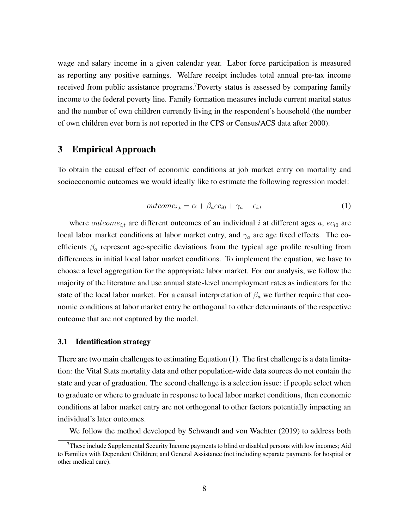wage and salary income in a given calendar year. Labor force participation is measured as reporting any positive earnings. Welfare receipt includes total annual pre-tax income received from public assistance programs.<sup>7</sup>Poverty status is assessed by comparing family income to the federal poverty line. Family formation measures include current marital status and the number of own children currently living in the respondent's household (the number of own children ever born is not reported in the CPS or Census/ACS data after 2000).

# 3 Empirical Approach

To obtain the causal effect of economic conditions at job market entry on mortality and socioeconomic outcomes we would ideally like to estimate the following regression model:

$$
outcome_{i,t} = \alpha + \beta_a e c_{i0} + \gamma_a + \epsilon_{i,t} \tag{1}
$$

where *outcome*<sub>it</sub> are different outcomes of an individual i at different ages a,  $ec_{i0}$  are local labor market conditions at labor market entry, and  $\gamma_a$  are age fixed effects. The coefficients  $\beta_a$  represent age-specific deviations from the typical age profile resulting from differences in initial local labor market conditions. To implement the equation, we have to choose a level aggregation for the appropriate labor market. For our analysis, we follow the majority of the literature and use annual state-level unemployment rates as indicators for the state of the local labor market. For a causal interpretation of  $\beta_a$  we further require that economic conditions at labor market entry be orthogonal to other determinants of the respective outcome that are not captured by the model.

#### 3.1 Identification strategy

There are two main challenges to estimating Equation (1). The first challenge is a data limitation: the Vital Stats mortality data and other population-wide data sources do not contain the state and year of graduation. The second challenge is a selection issue: if people select when to graduate or where to graduate in response to local labor market conditions, then economic conditions at labor market entry are not orthogonal to other factors potentially impacting an individual's later outcomes.

We follow the method developed by Schwandt and von Wachter (2019) to address both

 $<sup>7</sup>$ These include Supplemental Security Income payments to blind or disabled persons with low incomes; Aid</sup> to Families with Dependent Children; and General Assistance (not including separate payments for hospital or other medical care).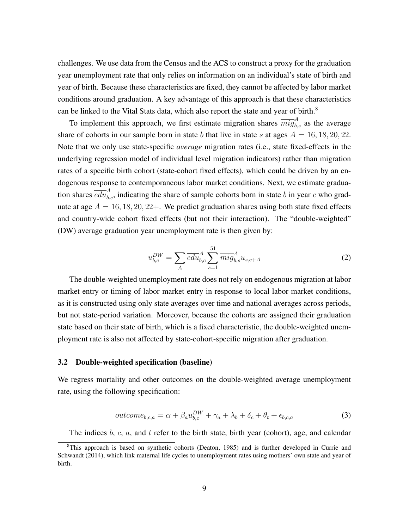challenges. We use data from the Census and the ACS to construct a proxy for the graduation year unemployment rate that only relies on information on an individual's state of birth and year of birth. Because these characteristics are fixed, they cannot be affected by labor market conditions around graduation. A key advantage of this approach is that these characteristics can be linked to the Vital Stats data, which also report the state and year of birth.<sup>8</sup>

To implement this approach, we first estimate migration shares  $\overline{mig}^A_{b,s}$  as the average share of cohorts in our sample born in state b that live in state s at ages  $A = 16, 18, 20, 22$ . Note that we only use state-specific *average* migration rates (i.e., state fixed-effects in the underlying regression model of individual level migration indicators) rather than migration rates of a specific birth cohort (state-cohort fixed effects), which could be driven by an endogenous response to contemporaneous labor market conditions. Next, we estimate graduation shares  $\overline{edu}^A_{b,c}$ , indicating the share of sample cohorts born in state b in year c who graduate at age  $A = 16, 18, 20, 22+$ . We predict graduation shares using both state fixed effects and country-wide cohort fixed effects (but not their interaction). The "double-weighted" (DW) average graduation year unemployment rate is then given by:

$$
u_{b,c}^{DW} = \sum_{A} \overline{edu}_{b,c}^A \sum_{s=1}^{51} \overline{m} \overline{ig}_{b,s}^A u_{s,c+A}
$$
 (2)

The double-weighted unemployment rate does not rely on endogenous migration at labor market entry or timing of labor market entry in response to local labor market conditions, as it is constructed using only state averages over time and national averages across periods, but not state-period variation. Moreover, because the cohorts are assigned their graduation state based on their state of birth, which is a fixed characteristic, the double-weighted unemployment rate is also not affected by state-cohort-specific migration after graduation.

### 3.2 Double-weighted specification (baseline)

We regress mortality and other outcomes on the double-weighted average unemployment rate, using the following specification:

$$
outcome_{b,c,a} = \alpha + \beta_a u_{b,c}^{DW} + \gamma_a + \lambda_b + \delta_c + \theta_t + \epsilon_{b,c,a}
$$
\n(3)

The indices  $b, c, a$ , and  $t$  refer to the birth state, birth year (cohort), age, and calendar

<sup>8</sup>This approach is based on synthetic cohorts (Deaton, 1985) and is further developed in Currie and Schwandt (2014), which link maternal life cycles to unemployment rates using mothers' own state and year of birth.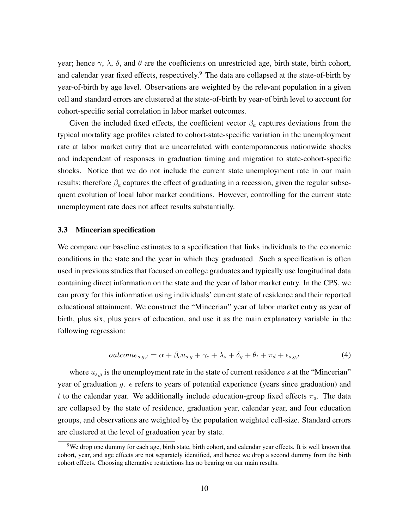year; hence  $\gamma$ ,  $\lambda$ ,  $\delta$ , and  $\theta$  are the coefficients on unrestricted age, birth state, birth cohort, and calendar year fixed effects, respectively.<sup>9</sup> The data are collapsed at the state-of-birth by year-of-birth by age level. Observations are weighted by the relevant population in a given cell and standard errors are clustered at the state-of-birth by year-of birth level to account for cohort-specific serial correlation in labor market outcomes.

Given the included fixed effects, the coefficient vector  $\beta_a$  captures deviations from the typical mortality age profiles related to cohort-state-specific variation in the unemployment rate at labor market entry that are uncorrelated with contemporaneous nationwide shocks and independent of responses in graduation timing and migration to state-cohort-specific shocks. Notice that we do not include the current state unemployment rate in our main results; therefore  $\beta_a$  captures the effect of graduating in a recession, given the regular subsequent evolution of local labor market conditions. However, controlling for the current state unemployment rate does not affect results substantially.

#### 3.3 Mincerian specification

We compare our baseline estimates to a specification that links individuals to the economic conditions in the state and the year in which they graduated. Such a specification is often used in previous studies that focused on college graduates and typically use longitudinal data containing direct information on the state and the year of labor market entry. In the CPS, we can proxy for this information using individuals' current state of residence and their reported educational attainment. We construct the "Mincerian" year of labor market entry as year of birth, plus six, plus years of education, and use it as the main explanatory variable in the following regression:

$$
outcome_{s,g,t} = \alpha + \beta_e u_{s,g} + \gamma_e + \lambda_s + \delta_g + \theta_t + \pi_d + \epsilon_{s,g,t}
$$
\n
$$
\tag{4}
$$

where  $u_{s,q}$  is the unemployment rate in the state of current residence s at the "Mincerian" year of graduation g. e refers to years of potential experience (years since graduation) and t to the calendar year. We additionally include education-group fixed effects  $\pi_d$ . The data are collapsed by the state of residence, graduation year, calendar year, and four education groups, and observations are weighted by the population weighted cell-size. Standard errors are clustered at the level of graduation year by state.

<sup>&</sup>lt;sup>9</sup>We drop one dummy for each age, birth state, birth cohort, and calendar year effects. It is well known that cohort, year, and age effects are not separately identified, and hence we drop a second dummy from the birth cohort effects. Choosing alternative restrictions has no bearing on our main results.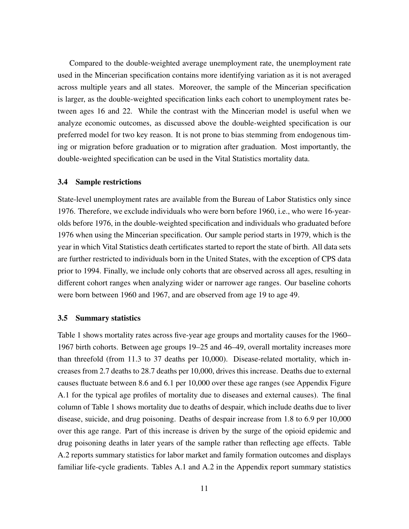Compared to the double-weighted average unemployment rate, the unemployment rate used in the Mincerian specification contains more identifying variation as it is not averaged across multiple years and all states. Moreover, the sample of the Mincerian specification is larger, as the double-weighted specification links each cohort to unemployment rates between ages 16 and 22. While the contrast with the Mincerian model is useful when we analyze economic outcomes, as discussed above the double-weighted specification is our preferred model for two key reason. It is not prone to bias stemming from endogenous timing or migration before graduation or to migration after graduation. Most importantly, the double-weighted specification can be used in the Vital Statistics mortality data.

#### 3.4 Sample restrictions

State-level unemployment rates are available from the Bureau of Labor Statistics only since 1976. Therefore, we exclude individuals who were born before 1960, i.e., who were 16-yearolds before 1976, in the double-weighted specification and individuals who graduated before 1976 when using the Mincerian specification. Our sample period starts in 1979, which is the year in which Vital Statistics death certificates started to report the state of birth. All data sets are further restricted to individuals born in the United States, with the exception of CPS data prior to 1994. Finally, we include only cohorts that are observed across all ages, resulting in different cohort ranges when analyzing wider or narrower age ranges. Our baseline cohorts were born between 1960 and 1967, and are observed from age 19 to age 49.

#### 3.5 Summary statistics

Table 1 shows mortality rates across five-year age groups and mortality causes for the 1960– 1967 birth cohorts. Between age groups 19–25 and 46–49, overall mortality increases more than threefold (from 11.3 to 37 deaths per 10,000). Disease-related mortality, which increases from 2.7 deaths to 28.7 deaths per 10,000, drives this increase. Deaths due to external causes fluctuate between 8.6 and 6.1 per 10,000 over these age ranges (see Appendix Figure A.1 for the typical age profiles of mortality due to diseases and external causes). The final column of Table 1 shows mortality due to deaths of despair, which include deaths due to liver disease, suicide, and drug poisoning. Deaths of despair increase from 1.8 to 6.9 per 10,000 over this age range. Part of this increase is driven by the surge of the opioid epidemic and drug poisoning deaths in later years of the sample rather than reflecting age effects. Table A.2 reports summary statistics for labor market and family formation outcomes and displays familiar life-cycle gradients. Tables A.1 and A.2 in the Appendix report summary statistics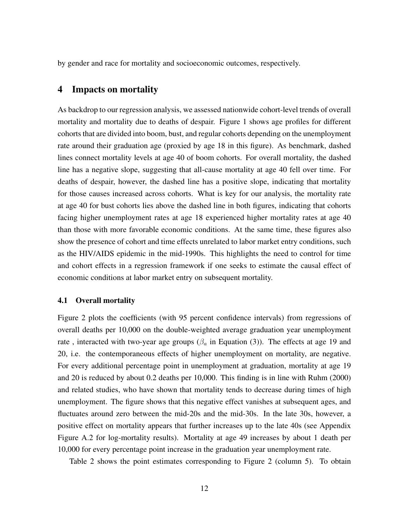by gender and race for mortality and socioeconomic outcomes, respectively.

# 4 Impacts on mortality

As backdrop to our regression analysis, we assessed nationwide cohort-level trends of overall mortality and mortality due to deaths of despair. Figure 1 shows age profiles for different cohorts that are divided into boom, bust, and regular cohorts depending on the unemployment rate around their graduation age (proxied by age 18 in this figure). As benchmark, dashed lines connect mortality levels at age 40 of boom cohorts. For overall mortality, the dashed line has a negative slope, suggesting that all-cause mortality at age 40 fell over time. For deaths of despair, however, the dashed line has a positive slope, indicating that mortality for those causes increased across cohorts. What is key for our analysis, the mortality rate at age 40 for bust cohorts lies above the dashed line in both figures, indicating that cohorts facing higher unemployment rates at age 18 experienced higher mortality rates at age 40 than those with more favorable economic conditions. At the same time, these figures also show the presence of cohort and time effects unrelated to labor market entry conditions, such as the HIV/AIDS epidemic in the mid-1990s. This highlights the need to control for time and cohort effects in a regression framework if one seeks to estimate the causal effect of economic conditions at labor market entry on subsequent mortality.

#### 4.1 Overall mortality

Figure 2 plots the coefficients (with 95 percent confidence intervals) from regressions of overall deaths per 10,000 on the double-weighted average graduation year unemployment rate, interacted with two-year age groups ( $\beta_a$  in Equation (3)). The effects at age 19 and 20, i.e. the contemporaneous effects of higher unemployment on mortality, are negative. For every additional percentage point in unemployment at graduation, mortality at age 19 and 20 is reduced by about 0.2 deaths per 10,000. This finding is in line with Ruhm (2000) and related studies, who have shown that mortality tends to decrease during times of high unemployment. The figure shows that this negative effect vanishes at subsequent ages, and fluctuates around zero between the mid-20s and the mid-30s. In the late 30s, however, a positive effect on mortality appears that further increases up to the late 40s (see Appendix Figure A.2 for log-mortality results). Mortality at age 49 increases by about 1 death per 10,000 for every percentage point increase in the graduation year unemployment rate.

Table 2 shows the point estimates corresponding to Figure 2 (column 5). To obtain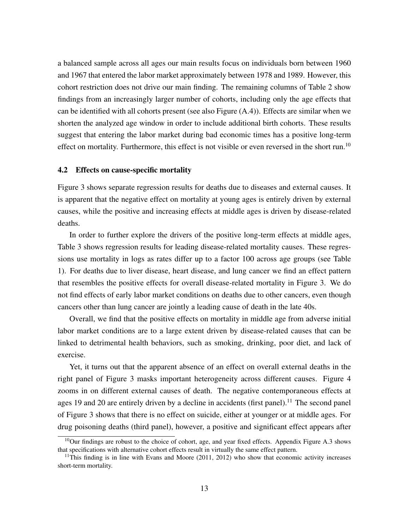a balanced sample across all ages our main results focus on individuals born between 1960 and 1967 that entered the labor market approximately between 1978 and 1989. However, this cohort restriction does not drive our main finding. The remaining columns of Table 2 show findings from an increasingly larger number of cohorts, including only the age effects that can be identified with all cohorts present (see also Figure (A.4)). Effects are similar when we shorten the analyzed age window in order to include additional birth cohorts. These results suggest that entering the labor market during bad economic times has a positive long-term effect on mortality. Furthermore, this effect is not visible or even reversed in the short run.<sup>10</sup>

#### 4.2 Effects on cause-specific mortality

Figure 3 shows separate regression results for deaths due to diseases and external causes. It is apparent that the negative effect on mortality at young ages is entirely driven by external causes, while the positive and increasing effects at middle ages is driven by disease-related deaths.

In order to further explore the drivers of the positive long-term effects at middle ages, Table 3 shows regression results for leading disease-related mortality causes. These regressions use mortality in logs as rates differ up to a factor 100 across age groups (see Table 1). For deaths due to liver disease, heart disease, and lung cancer we find an effect pattern that resembles the positive effects for overall disease-related mortality in Figure 3. We do not find effects of early labor market conditions on deaths due to other cancers, even though cancers other than lung cancer are jointly a leading cause of death in the late 40s.

Overall, we find that the positive effects on mortality in middle age from adverse initial labor market conditions are to a large extent driven by disease-related causes that can be linked to detrimental health behaviors, such as smoking, drinking, poor diet, and lack of exercise.

Yet, it turns out that the apparent absence of an effect on overall external deaths in the right panel of Figure 3 masks important heterogeneity across different causes. Figure 4 zooms in on different external causes of death. The negative contemporaneous effects at ages 19 and 20 are entirely driven by a decline in accidents (first panel).<sup>11</sup> The second panel of Figure 3 shows that there is no effect on suicide, either at younger or at middle ages. For drug poisoning deaths (third panel), however, a positive and significant effect appears after

 $10$ Our findings are robust to the choice of cohort, age, and year fixed effects. Appendix Figure A.3 shows that specifications with alternative cohort effects result in virtually the same effect pattern.

<sup>&</sup>lt;sup>11</sup>This finding is in line with Evans and Moore  $(2011, 2012)$  who show that economic activity increases short-term mortality.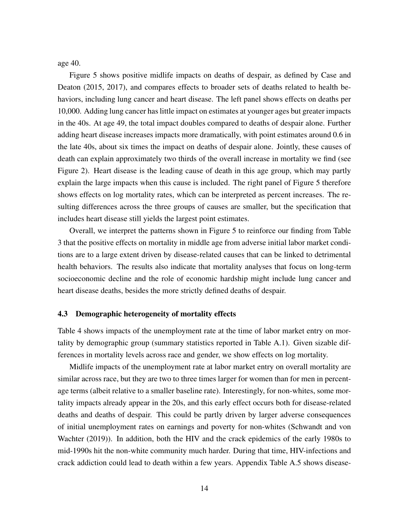age 40.

Figure 5 shows positive midlife impacts on deaths of despair, as defined by Case and Deaton (2015, 2017), and compares effects to broader sets of deaths related to health behaviors, including lung cancer and heart disease. The left panel shows effects on deaths per 10,000. Adding lung cancer has little impact on estimates at younger ages but greater impacts in the 40s. At age 49, the total impact doubles compared to deaths of despair alone. Further adding heart disease increases impacts more dramatically, with point estimates around 0.6 in the late 40s, about six times the impact on deaths of despair alone. Jointly, these causes of death can explain approximately two thirds of the overall increase in mortality we find (see Figure 2). Heart disease is the leading cause of death in this age group, which may partly explain the large impacts when this cause is included. The right panel of Figure 5 therefore shows effects on log mortality rates, which can be interpreted as percent increases. The resulting differences across the three groups of causes are smaller, but the specification that includes heart disease still yields the largest point estimates.

Overall, we interpret the patterns shown in Figure 5 to reinforce our finding from Table 3 that the positive effects on mortality in middle age from adverse initial labor market conditions are to a large extent driven by disease-related causes that can be linked to detrimental health behaviors. The results also indicate that mortality analyses that focus on long-term socioeconomic decline and the role of economic hardship might include lung cancer and heart disease deaths, besides the more strictly defined deaths of despair.

#### 4.3 Demographic heterogeneity of mortality effects

Table 4 shows impacts of the unemployment rate at the time of labor market entry on mortality by demographic group (summary statistics reported in Table A.1). Given sizable differences in mortality levels across race and gender, we show effects on log mortality.

Midlife impacts of the unemployment rate at labor market entry on overall mortality are similar across race, but they are two to three times larger for women than for men in percentage terms (albeit relative to a smaller baseline rate). Interestingly, for non-whites, some mortality impacts already appear in the 20s, and this early effect occurs both for disease-related deaths and deaths of despair. This could be partly driven by larger adverse consequences of initial unemployment rates on earnings and poverty for non-whites (Schwandt and von Wachter (2019)). In addition, both the HIV and the crack epidemics of the early 1980s to mid-1990s hit the non-white community much harder. During that time, HIV-infections and crack addiction could lead to death within a few years. Appendix Table A.5 shows disease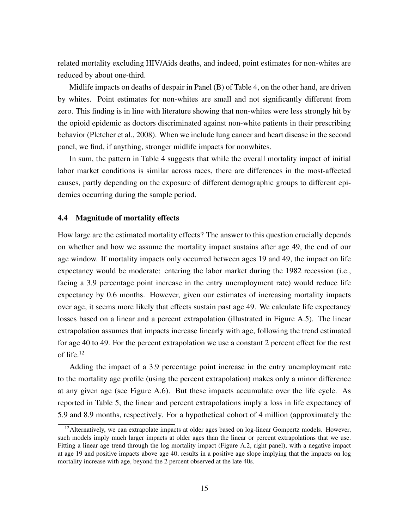related mortality excluding HIV/Aids deaths, and indeed, point estimates for non-whites are reduced by about one-third.

Midlife impacts on deaths of despair in Panel (B) of Table 4, on the other hand, are driven by whites. Point estimates for non-whites are small and not significantly different from zero. This finding is in line with literature showing that non-whites were less strongly hit by the opioid epidemic as doctors discriminated against non-white patients in their prescribing behavior (Pletcher et al., 2008). When we include lung cancer and heart disease in the second panel, we find, if anything, stronger midlife impacts for nonwhites.

In sum, the pattern in Table 4 suggests that while the overall mortality impact of initial labor market conditions is similar across races, there are differences in the most-affected causes, partly depending on the exposure of different demographic groups to different epidemics occurring during the sample period.

### 4.4 Magnitude of mortality effects

How large are the estimated mortality effects? The answer to this question crucially depends on whether and how we assume the mortality impact sustains after age 49, the end of our age window. If mortality impacts only occurred between ages 19 and 49, the impact on life expectancy would be moderate: entering the labor market during the 1982 recession (i.e., facing a 3.9 percentage point increase in the entry unemployment rate) would reduce life expectancy by 0.6 months. However, given our estimates of increasing mortality impacts over age, it seems more likely that effects sustain past age 49. We calculate life expectancy losses based on a linear and a percent extrapolation (illustrated in Figure A.5). The linear extrapolation assumes that impacts increase linearly with age, following the trend estimated for age 40 to 49. For the percent extrapolation we use a constant 2 percent effect for the rest of life.<sup>12</sup>

Adding the impact of a 3.9 percentage point increase in the entry unemployment rate to the mortality age profile (using the percent extrapolation) makes only a minor difference at any given age (see Figure A.6). But these impacts accumulate over the life cycle. As reported in Table 5, the linear and percent extrapolations imply a loss in life expectancy of 5.9 and 8.9 months, respectively. For a hypothetical cohort of 4 million (approximately the

<sup>&</sup>lt;sup>12</sup> Alternatively, we can extrapolate impacts at older ages based on log-linear Gompertz models. However, such models imply much larger impacts at older ages than the linear or percent extrapolations that we use. Fitting a linear age trend through the log mortality impact (Figure A.2, right panel), with a negative impact at age 19 and positive impacts above age 40, results in a positive age slope implying that the impacts on log mortality increase with age, beyond the 2 percent observed at the late 40s.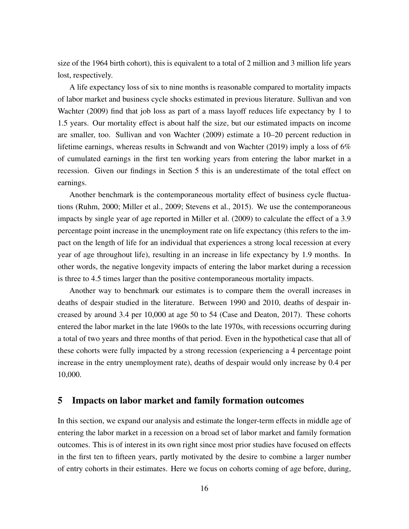size of the 1964 birth cohort), this is equivalent to a total of 2 million and 3 million life years lost, respectively.

A life expectancy loss of six to nine months is reasonable compared to mortality impacts of labor market and business cycle shocks estimated in previous literature. Sullivan and von Wachter (2009) find that job loss as part of a mass layoff reduces life expectancy by 1 to 1.5 years. Our mortality effect is about half the size, but our estimated impacts on income are smaller, too. Sullivan and von Wachter (2009) estimate a 10–20 percent reduction in lifetime earnings, whereas results in Schwandt and von Wachter (2019) imply a loss of 6% of cumulated earnings in the first ten working years from entering the labor market in a recession. Given our findings in Section 5 this is an underestimate of the total effect on earnings.

Another benchmark is the contemporaneous mortality effect of business cycle fluctuations (Ruhm, 2000; Miller et al., 2009; Stevens et al., 2015). We use the contemporaneous impacts by single year of age reported in Miller et al. (2009) to calculate the effect of a 3.9 percentage point increase in the unemployment rate on life expectancy (this refers to the impact on the length of life for an individual that experiences a strong local recession at every year of age throughout life), resulting in an increase in life expectancy by 1.9 months. In other words, the negative longevity impacts of entering the labor market during a recession is three to 4.5 times larger than the positive contemporaneous mortality impacts.

Another way to benchmark our estimates is to compare them the overall increases in deaths of despair studied in the literature. Between 1990 and 2010, deaths of despair increased by around 3.4 per 10,000 at age 50 to 54 (Case and Deaton, 2017). These cohorts entered the labor market in the late 1960s to the late 1970s, with recessions occurring during a total of two years and three months of that period. Even in the hypothetical case that all of these cohorts were fully impacted by a strong recession (experiencing a 4 percentage point increase in the entry unemployment rate), deaths of despair would only increase by 0.4 per 10,000.

## 5 Impacts on labor market and family formation outcomes

In this section, we expand our analysis and estimate the longer-term effects in middle age of entering the labor market in a recession on a broad set of labor market and family formation outcomes. This is of interest in its own right since most prior studies have focused on effects in the first ten to fifteen years, partly motivated by the desire to combine a larger number of entry cohorts in their estimates. Here we focus on cohorts coming of age before, during,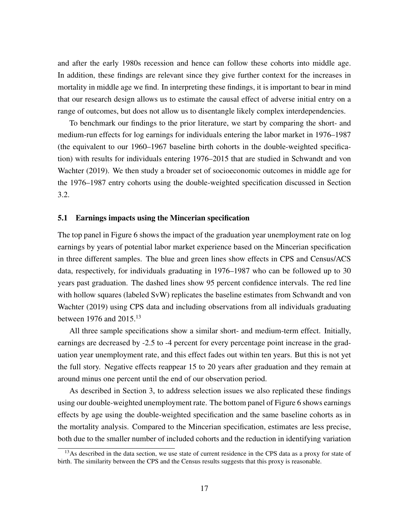and after the early 1980s recession and hence can follow these cohorts into middle age. In addition, these findings are relevant since they give further context for the increases in mortality in middle age we find. In interpreting these findings, it is important to bear in mind that our research design allows us to estimate the causal effect of adverse initial entry on a range of outcomes, but does not allow us to disentangle likely complex interdependencies.

To benchmark our findings to the prior literature, we start by comparing the short- and medium-run effects for log earnings for individuals entering the labor market in 1976–1987 (the equivalent to our 1960–1967 baseline birth cohorts in the double-weighted specification) with results for individuals entering 1976–2015 that are studied in Schwandt and von Wachter (2019). We then study a broader set of socioeconomic outcomes in middle age for the 1976–1987 entry cohorts using the double-weighted specification discussed in Section 3.2.

#### 5.1 Earnings impacts using the Mincerian specification

The top panel in Figure 6 shows the impact of the graduation year unemployment rate on log earnings by years of potential labor market experience based on the Mincerian specification in three different samples. The blue and green lines show effects in CPS and Census/ACS data, respectively, for individuals graduating in 1976–1987 who can be followed up to 30 years past graduation. The dashed lines show 95 percent confidence intervals. The red line with hollow squares (labeled SvW) replicates the baseline estimates from Schwandt and von Wachter (2019) using CPS data and including observations from all individuals graduating between 1976 and  $2015.<sup>13</sup>$ 

All three sample specifications show a similar short- and medium-term effect. Initially, earnings are decreased by -2.5 to -4 percent for every percentage point increase in the graduation year unemployment rate, and this effect fades out within ten years. But this is not yet the full story. Negative effects reappear 15 to 20 years after graduation and they remain at around minus one percent until the end of our observation period.

As described in Section 3, to address selection issues we also replicated these findings using our double-weighted unemployment rate. The bottom panel of Figure 6 shows earnings effects by age using the double-weighted specification and the same baseline cohorts as in the mortality analysis. Compared to the Mincerian specification, estimates are less precise, both due to the smaller number of included cohorts and the reduction in identifying variation

<sup>&</sup>lt;sup>13</sup>As described in the data section, we use state of current residence in the CPS data as a proxy for state of birth. The similarity between the CPS and the Census results suggests that this proxy is reasonable.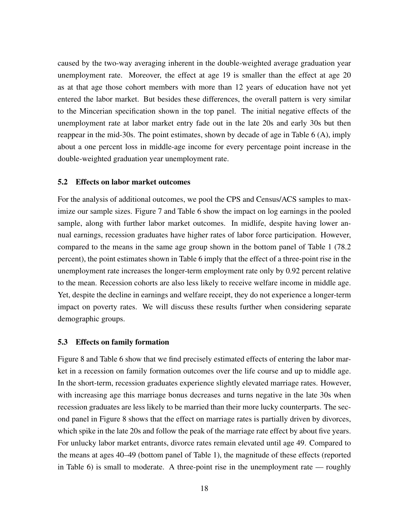caused by the two-way averaging inherent in the double-weighted average graduation year unemployment rate. Moreover, the effect at age 19 is smaller than the effect at age 20 as at that age those cohort members with more than 12 years of education have not yet entered the labor market. But besides these differences, the overall pattern is very similar to the Mincerian specification shown in the top panel. The initial negative effects of the unemployment rate at labor market entry fade out in the late 20s and early 30s but then reappear in the mid-30s. The point estimates, shown by decade of age in Table 6 (A), imply about a one percent loss in middle-age income for every percentage point increase in the double-weighted graduation year unemployment rate.

#### 5.2 Effects on labor market outcomes

For the analysis of additional outcomes, we pool the CPS and Census/ACS samples to maximize our sample sizes. Figure 7 and Table 6 show the impact on log earnings in the pooled sample, along with further labor market outcomes. In midlife, despite having lower annual earnings, recession graduates have higher rates of labor force participation. However, compared to the means in the same age group shown in the bottom panel of Table 1 (78.2 percent), the point estimates shown in Table 6 imply that the effect of a three-point rise in the unemployment rate increases the longer-term employment rate only by 0.92 percent relative to the mean. Recession cohorts are also less likely to receive welfare income in middle age. Yet, despite the decline in earnings and welfare receipt, they do not experience a longer-term impact on poverty rates. We will discuss these results further when considering separate demographic groups.

#### 5.3 Effects on family formation

Figure 8 and Table 6 show that we find precisely estimated effects of entering the labor market in a recession on family formation outcomes over the life course and up to middle age. In the short-term, recession graduates experience slightly elevated marriage rates. However, with increasing age this marriage bonus decreases and turns negative in the late 30s when recession graduates are less likely to be married than their more lucky counterparts. The second panel in Figure 8 shows that the effect on marriage rates is partially driven by divorces, which spike in the late 20s and follow the peak of the marriage rate effect by about five years. For unlucky labor market entrants, divorce rates remain elevated until age 49. Compared to the means at ages 40–49 (bottom panel of Table 1), the magnitude of these effects (reported in Table 6) is small to moderate. A three-point rise in the unemployment rate — roughly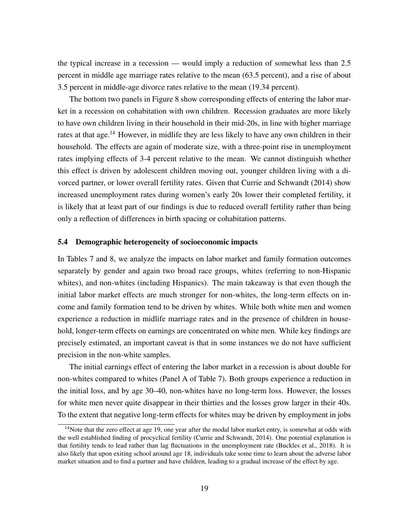the typical increase in a recession — would imply a reduction of somewhat less than 2.5 percent in middle age marriage rates relative to the mean (63.5 percent), and a rise of about 3.5 percent in middle-age divorce rates relative to the mean (19.34 percent).

The bottom two panels in Figure 8 show corresponding effects of entering the labor market in a recession on cohabitation with own children. Recession graduates are more likely to have own children living in their household in their mid-20s, in line with higher marriage rates at that age.<sup>14</sup> However, in midlife they are less likely to have any own children in their household. The effects are again of moderate size, with a three-point rise in unemployment rates implying effects of 3-4 percent relative to the mean. We cannot distinguish whether this effect is driven by adolescent children moving out, younger children living with a divorced partner, or lower overall fertility rates. Given that Currie and Schwandt (2014) show increased unemployment rates during women's early 20s lower their completed fertility, it is likely that at least part of our findings is due to reduced overall fertility rather than being only a reflection of differences in birth spacing or cohabitation patterns.

## 5.4 Demographic heterogeneity of socioeconomic impacts

In Tables 7 and 8, we analyze the impacts on labor market and family formation outcomes separately by gender and again two broad race groups, whites (referring to non-Hispanic whites), and non-whites (including Hispanics). The main takeaway is that even though the initial labor market effects are much stronger for non-whites, the long-term effects on income and family formation tend to be driven by whites. While both white men and women experience a reduction in midlife marriage rates and in the presence of children in household, longer-term effects on earnings are concentrated on white men. While key findings are precisely estimated, an important caveat is that in some instances we do not have sufficient precision in the non-white samples.

The initial earnings effect of entering the labor market in a recession is about double for non-whites compared to whites (Panel A of Table 7). Both groups experience a reduction in the initial loss, and by age 30–40, non-whites have no long-term loss. However, the losses for white men never quite disappear in their thirties and the losses grow larger in their 40s. To the extent that negative long-term effects for whites may be driven by employment in jobs

<sup>&</sup>lt;sup>14</sup>Note that the zero effect at age 19, one year after the modal labor market entry, is somewhat at odds with the well established finding of procyclical fertility (Currie and Schwandt, 2014). One potential explanation is that fertility tends to lead rather than lag fluctuations in the unemployment rate (Buckles et al., 2018). It is also likely that upon exiting school around age 18, individuals take some time to learn about the adverse labor market situation and to find a partner and have children, leading to a gradual increase of the effect by age.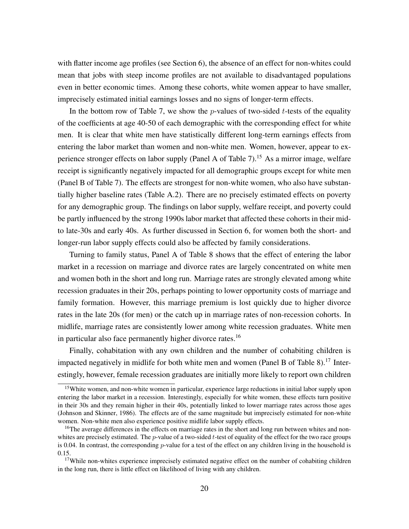with flatter income age profiles (see Section 6), the absence of an effect for non-whites could mean that jobs with steep income profiles are not available to disadvantaged populations even in better economic times. Among these cohorts, white women appear to have smaller, imprecisely estimated initial earnings losses and no signs of longer-term effects.

In the bottom row of Table 7, we show the *p*-values of two-sided *t*-tests of the equality of the coefficients at age 40-50 of each demographic with the corresponding effect for white men. It is clear that white men have statistically different long-term earnings effects from entering the labor market than women and non-white men. Women, however, appear to experience stronger effects on labor supply (Panel A of Table 7).<sup>15</sup> As a mirror image, welfare receipt is significantly negatively impacted for all demographic groups except for white men (Panel B of Table 7). The effects are strongest for non-white women, who also have substantially higher baseline rates (Table A.2). There are no precisely estimated effects on poverty for any demographic group. The findings on labor supply, welfare receipt, and poverty could be partly influenced by the strong 1990s labor market that affected these cohorts in their midto late-30s and early 40s. As further discussed in Section 6, for women both the short- and longer-run labor supply effects could also be affected by family considerations.

Turning to family status, Panel A of Table 8 shows that the effect of entering the labor market in a recession on marriage and divorce rates are largely concentrated on white men and women both in the short and long run. Marriage rates are strongly elevated among white recession graduates in their 20s, perhaps pointing to lower opportunity costs of marriage and family formation. However, this marriage premium is lost quickly due to higher divorce rates in the late 20s (for men) or the catch up in marriage rates of non-recession cohorts. In midlife, marriage rates are consistently lower among white recession graduates. White men in particular also face permanently higher divorce rates.<sup>16</sup>

Finally, cohabitation with any own children and the number of cohabiting children is impacted negatively in midlife for both white men and women (Panel B of Table 8).<sup>17</sup> Interestingly, however, female recession graduates are initially more likely to report own children

<sup>&</sup>lt;sup>15</sup>White women, and non-white women in particular, experience large reductions in initial labor supply upon entering the labor market in a recession. Interestingly, especially for white women, these effects turn positive in their 30s and they remain higher in their 40s, potentially linked to lower marriage rates across those ages (Johnson and Skinner, 1986). The effects are of the same magnitude but imprecisely estimated for non-white women. Non-white men also experience positive midlife labor supply effects.

<sup>&</sup>lt;sup>16</sup>The average differences in the effects on marriage rates in the short and long run between whites and nonwhites are precisely estimated. The  $p$ -value of a two-sided  $t$ -test of equality of the effect for the two race groups is 0.04. In contrast, the corresponding  $p$ -value for a test of the effect on any children living in the household is 0.15.

<sup>&</sup>lt;sup>17</sup>While non-whites experience imprecisely estimated negative effect on the number of cohabiting children in the long run, there is little effect on likelihood of living with any children.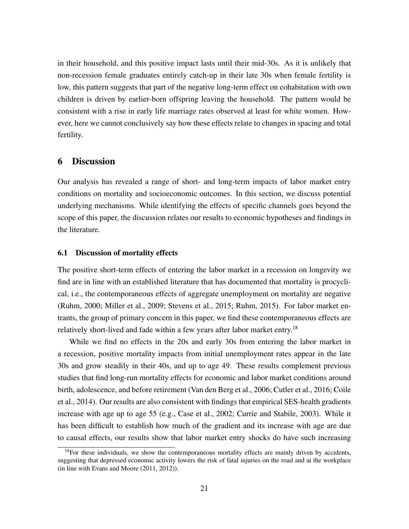in their household, and this positive impact lasts until their mid-30s. As it is unlikely that non-recession female graduates entirely catch-up in their late 30s when female fertility is low, this pattern suggests that part of the negative long-term effect on cohabitation with own children is driven by earlier-born offspring leaving the household. The pattern would be consistent with a rise in early life marriage rates observed at least for white women. However, here we cannot conclusively say how these effects relate to changes in spacing and total fertility.

# 6 Discussion

Our analysis has revealed a range of short- and long-term impacts of labor market entry conditions on mortality and socioeconomic outcomes. In this section, we discuss potential underlying mechanisms. While identifying the effects of specific channels goes beyond the scope of this paper, the discussion relates our results to economic hypotheses and findings in the literature.

## 6.1 Discussion of mortality effects

The positive short-term effects of entering the labor market in a recession on longevity we find are in line with an established literature that has documented that mortality is procyclical, i.e., the contemporaneous effects of aggregate unemployment on mortality are negative (Ruhm, 2000; Miller et al., 2009; Stevens et al., 2015; Ruhm, 2015). For labor market entrants, the group of primary concern in this paper, we find these contemporaneous effects are relatively short-lived and fade within a few years after labor market entry.<sup>18</sup>

While we find no effects in the 20s and early 30s from entering the labor market in a recession, positive mortality impacts from initial unemployment rates appear in the late 30s and grow steadily in their 40s, and up to age 49. These results complement previous studies that find long-run mortality effects for economic and labor market conditions around birth, adolescence, and before retirement (Van den Berg et al., 2006; Cutler et al., 2016; Coile et al., 2014). Our results are also consistent with findings that empirical SES-health gradients increase with age up to age 55 (e.g., Case et al., 2002; Currie and Stabile, 2003). While it has been difficult to establish how much of the gradient and its increase with age are due to causal effects, our results show that labor market entry shocks do have such increasing

 $18$ For these individuals, we show the contemporaneous mortality effects are mainly driven by accidents, suggesting that depressed economic activity lowers the risk of fatal injuries on the road and at the workplace (in line with Evans and Moore (2011, 2012)).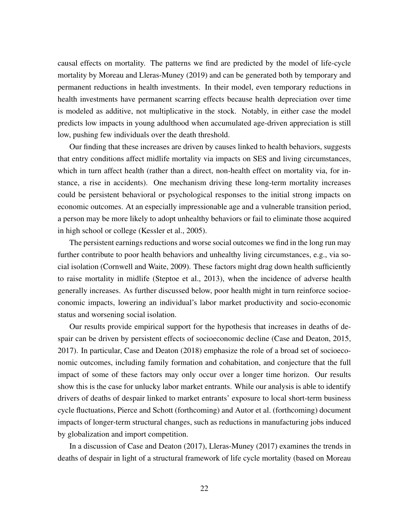causal effects on mortality. The patterns we find are predicted by the model of life-cycle mortality by Moreau and Lleras-Muney (2019) and can be generated both by temporary and permanent reductions in health investments. In their model, even temporary reductions in health investments have permanent scarring effects because health depreciation over time is modeled as additive, not multiplicative in the stock. Notably, in either case the model predicts low impacts in young adulthood when accumulated age-driven appreciation is still low, pushing few individuals over the death threshold.

Our finding that these increases are driven by causes linked to health behaviors, suggests that entry conditions affect midlife mortality via impacts on SES and living circumstances, which in turn affect health (rather than a direct, non-health effect on mortality via, for instance, a rise in accidents). One mechanism driving these long-term mortality increases could be persistent behavioral or psychological responses to the initial strong impacts on economic outcomes. At an especially impressionable age and a vulnerable transition period, a person may be more likely to adopt unhealthy behaviors or fail to eliminate those acquired in high school or college (Kessler et al., 2005).

The persistent earnings reductions and worse social outcomes we find in the long run may further contribute to poor health behaviors and unhealthy living circumstances, e.g., via social isolation (Cornwell and Waite, 2009). These factors might drag down health sufficiently to raise mortality in midlife (Steptoe et al., 2013), when the incidence of adverse health generally increases. As further discussed below, poor health might in turn reinforce socioeconomic impacts, lowering an individual's labor market productivity and socio-economic status and worsening social isolation.

Our results provide empirical support for the hypothesis that increases in deaths of despair can be driven by persistent effects of socioeconomic decline (Case and Deaton, 2015, 2017). In particular, Case and Deaton (2018) emphasize the role of a broad set of socioeconomic outcomes, including family formation and cohabitation, and conjecture that the full impact of some of these factors may only occur over a longer time horizon. Our results show this is the case for unlucky labor market entrants. While our analysis is able to identify drivers of deaths of despair linked to market entrants' exposure to local short-term business cycle fluctuations, Pierce and Schott (forthcoming) and Autor et al. (forthcoming) document impacts of longer-term structural changes, such as reductions in manufacturing jobs induced by globalization and import competition.

In a discussion of Case and Deaton (2017), Lleras-Muney (2017) examines the trends in deaths of despair in light of a structural framework of life cycle mortality (based on Moreau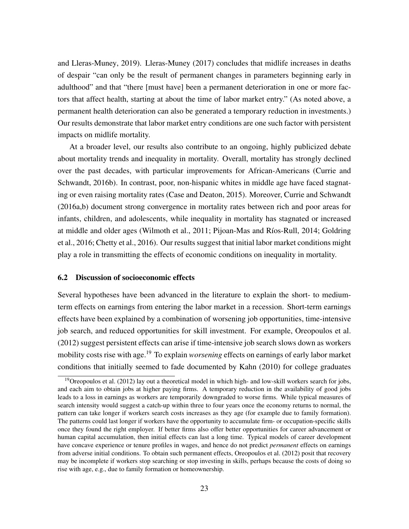and Lleras-Muney, 2019). Lleras-Muney (2017) concludes that midlife increases in deaths of despair "can only be the result of permanent changes in parameters beginning early in adulthood" and that "there [must have] been a permanent deterioration in one or more factors that affect health, starting at about the time of labor market entry." (As noted above, a permanent health deterioration can also be generated a temporary reduction in investments.) Our results demonstrate that labor market entry conditions are one such factor with persistent impacts on midlife mortality.

At a broader level, our results also contribute to an ongoing, highly publicized debate about mortality trends and inequality in mortality. Overall, mortality has strongly declined over the past decades, with particular improvements for African-Americans (Currie and Schwandt, 2016b). In contrast, poor, non-hispanic whites in middle age have faced stagnating or even raising mortality rates (Case and Deaton, 2015). Moreover, Currie and Schwandt (2016a,b) document strong convergence in mortality rates between rich and poor areas for infants, children, and adolescents, while inequality in mortality has stagnated or increased at middle and older ages (Wilmoth et al., 2011; Pijoan-Mas and Ríos-Rull, 2014; Goldring et al., 2016; Chetty et al., 2016). Our results suggest that initial labor market conditions might play a role in transmitting the effects of economic conditions on inequality in mortality.

#### 6.2 Discussion of socioeconomic effects

Several hypotheses have been advanced in the literature to explain the short- to mediumterm effects on earnings from entering the labor market in a recession. Short-term earnings effects have been explained by a combination of worsening job opportunities, time-intensive job search, and reduced opportunities for skill investment. For example, Oreopoulos et al. (2012) suggest persistent effects can arise if time-intensive job search slows down as workers mobility costs rise with age.<sup>19</sup> To explain *worsening* effects on earnings of early labor market conditions that initially seemed to fade documented by Kahn (2010) for college graduates

<sup>&</sup>lt;sup>19</sup>Oreopoulos et al. (2012) lay out a theoretical model in which high- and low-skill workers search for jobs, and each aim to obtain jobs at higher paying firms. A temporary reduction in the availability of good jobs leads to a loss in earnings as workers are temporarily downgraded to worse firms. While typical measures of search intensity would suggest a catch-up within three to four years once the economy returns to normal, the pattern can take longer if workers search costs increases as they age (for example due to family formation). The patterns could last longer if workers have the opportunity to accumulate firm- or occupation-specific skills once they found the right employer. If better firms also offer better opportunities for career advancement or human capital accumulation, then initial effects can last a long time. Typical models of career development have concave experience or tenure profiles in wages, and hence do not predict *permanent* effects on earnings from adverse initial conditions. To obtain such permanent effects, Oreopoulos et al. (2012) posit that recovery may be incomplete if workers stop searching or stop investing in skills, perhaps because the costs of doing so rise with age, e.g., due to family formation or homeownership.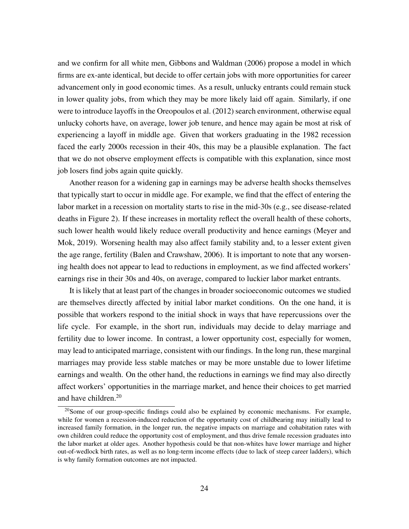and we confirm for all white men, Gibbons and Waldman (2006) propose a model in which firms are ex-ante identical, but decide to offer certain jobs with more opportunities for career advancement only in good economic times. As a result, unlucky entrants could remain stuck in lower quality jobs, from which they may be more likely laid off again. Similarly, if one were to introduce layoffs in the Oreopoulos et al. (2012) search environment, otherwise equal unlucky cohorts have, on average, lower job tenure, and hence may again be most at risk of experiencing a layoff in middle age. Given that workers graduating in the 1982 recession faced the early 2000s recession in their 40s, this may be a plausible explanation. The fact that we do not observe employment effects is compatible with this explanation, since most job losers find jobs again quite quickly.

Another reason for a widening gap in earnings may be adverse health shocks themselves that typically start to occur in middle age. For example, we find that the effect of entering the labor market in a recession on mortality starts to rise in the mid-30s (e.g., see disease-related deaths in Figure 2). If these increases in mortality reflect the overall health of these cohorts, such lower health would likely reduce overall productivity and hence earnings (Meyer and Mok, 2019). Worsening health may also affect family stability and, to a lesser extent given the age range, fertility (Balen and Crawshaw, 2006). It is important to note that any worsening health does not appear to lead to reductions in employment, as we find affected workers' earnings rise in their 30s and 40s, on average, compared to luckier labor market entrants.

It is likely that at least part of the changes in broader socioeconomic outcomes we studied are themselves directly affected by initial labor market conditions. On the one hand, it is possible that workers respond to the initial shock in ways that have repercussions over the life cycle. For example, in the short run, individuals may decide to delay marriage and fertility due to lower income. In contrast, a lower opportunity cost, especially for women, may lead to anticipated marriage, consistent with our findings. In the long run, these marginal marriages may provide less stable matches or may be more unstable due to lower lifetime earnings and wealth. On the other hand, the reductions in earnings we find may also directly affect workers' opportunities in the marriage market, and hence their choices to get married and have children.<sup>20</sup>

<sup>&</sup>lt;sup>20</sup>Some of our group-specific findings could also be explained by economic mechanisms. For example, while for women a recession-induced reduction of the opportunity cost of childbearing may initially lead to increased family formation, in the longer run, the negative impacts on marriage and cohabitation rates with own children could reduce the opportunity cost of employment, and thus drive female recession graduates into the labor market at older ages. Another hypothesis could be that non-whites have lower marriage and higher out-of-wedlock birth rates, as well as no long-term income effects (due to lack of steep career ladders), which is why family formation outcomes are not impacted.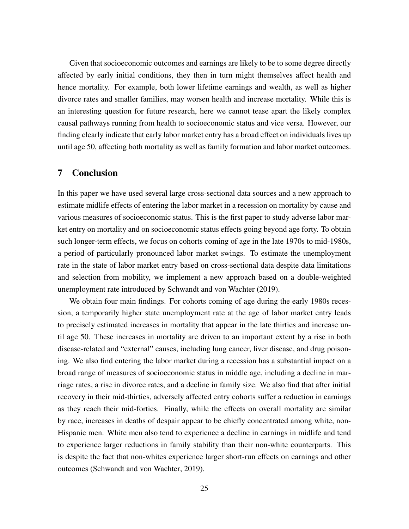Given that socioeconomic outcomes and earnings are likely to be to some degree directly affected by early initial conditions, they then in turn might themselves affect health and hence mortality. For example, both lower lifetime earnings and wealth, as well as higher divorce rates and smaller families, may worsen health and increase mortality. While this is an interesting question for future research, here we cannot tease apart the likely complex causal pathways running from health to socioeconomic status and vice versa. However, our finding clearly indicate that early labor market entry has a broad effect on individuals lives up until age 50, affecting both mortality as well as family formation and labor market outcomes.

# 7 Conclusion

In this paper we have used several large cross-sectional data sources and a new approach to estimate midlife effects of entering the labor market in a recession on mortality by cause and various measures of socioeconomic status. This is the first paper to study adverse labor market entry on mortality and on socioeconomic status effects going beyond age forty. To obtain such longer-term effects, we focus on cohorts coming of age in the late 1970s to mid-1980s, a period of particularly pronounced labor market swings. To estimate the unemployment rate in the state of labor market entry based on cross-sectional data despite data limitations and selection from mobility, we implement a new approach based on a double-weighted unemployment rate introduced by Schwandt and von Wachter (2019).

We obtain four main findings. For cohorts coming of age during the early 1980s recession, a temporarily higher state unemployment rate at the age of labor market entry leads to precisely estimated increases in mortality that appear in the late thirties and increase until age 50. These increases in mortality are driven to an important extent by a rise in both disease-related and "external" causes, including lung cancer, liver disease, and drug poisoning. We also find entering the labor market during a recession has a substantial impact on a broad range of measures of socioeconomic status in middle age, including a decline in marriage rates, a rise in divorce rates, and a decline in family size. We also find that after initial recovery in their mid-thirties, adversely affected entry cohorts suffer a reduction in earnings as they reach their mid-forties. Finally, while the effects on overall mortality are similar by race, increases in deaths of despair appear to be chiefly concentrated among white, non-Hispanic men. White men also tend to experience a decline in earnings in midlife and tend to experience larger reductions in family stability than their non-white counterparts. This is despite the fact that non-whites experience larger short-run effects on earnings and other outcomes (Schwandt and von Wachter, 2019).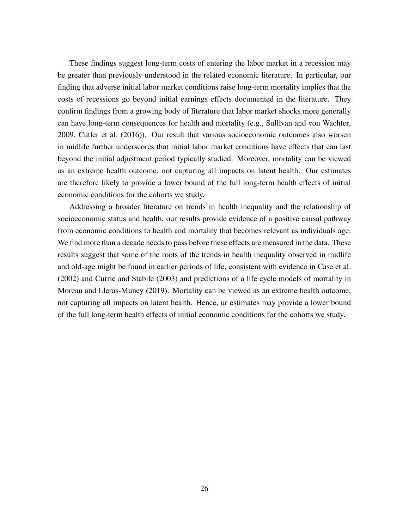These findings suggest long-term costs of entering the labor market in a recession may be greater than previously understood in the related economic literature. In particular, our finding that adverse initial labor market conditions raise long-term mortality implies that the costs of recessions go beyond initial earnings effects documented in the literature. They confirm findings from a growing body of literature that labor market shocks more generally can have long-term consequences for health and mortality (e.g., Sullivan and von Wachter, 2009, Cutler et al. (2016)). Our result that various socioeconomic outcomes also worsen in midlife further underscores that initial labor market conditions have effects that can last beyond the initial adjustment period typically studied. Moreover, mortality can be viewed as an extreme health outcome, not capturing all impacts on latent health. Our estimates are therefore likely to provide a lower bound of the full long-term health effects of initial economic conditions for the cohorts we study.

Addressing a broader literature on trends in health inequality and the relationship of socioeconomic status and health, our results provide evidence of a positive causal pathway from economic conditions to health and mortality that becomes relevant as individuals age. We find more than a decade needs to pass before these effects are measured in the data. These results suggest that some of the roots of the trends in health inequality observed in midlife and old-age might be found in earlier periods of life, consistent with evidence in Case et al. (2002) and Currie and Stabile (2003) and predictions of a life cycle models of mortality in Moreau and Lleras-Muney (2019). Mortality can be viewed as an extreme health outcome, not capturing all impacts on latent health. Hence, ur estimates may provide a lower bound of the full long-term health effects of initial economic conditions for the cohorts we study.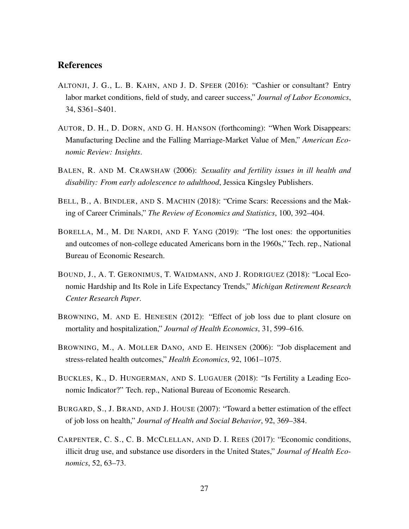# References

- ALTONJI, J. G., L. B. KAHN, AND J. D. SPEER (2016): "Cashier or consultant? Entry labor market conditions, field of study, and career success," *Journal of Labor Economics*, 34, S361–S401.
- AUTOR, D. H., D. DORN, AND G. H. HANSON (forthcoming): "When Work Disappears: Manufacturing Decline and the Falling Marriage-Market Value of Men," *American Economic Review: Insights*.
- BALEN, R. AND M. CRAWSHAW (2006): *Sexuality and fertility issues in ill health and disability: From early adolescence to adulthood*, Jessica Kingsley Publishers.
- BELL, B., A. BINDLER, AND S. MACHIN (2018): "Crime Scars: Recessions and the Making of Career Criminals," *The Review of Economics and Statistics*, 100, 392–404.
- BORELLA, M., M. DE NARDI, AND F. YANG (2019): "The lost ones: the opportunities and outcomes of non-college educated Americans born in the 1960s," Tech. rep., National Bureau of Economic Research.
- BOUND, J., A. T. GERONIMUS, T. WAIDMANN, AND J. RODRIGUEZ (2018): "Local Economic Hardship and Its Role in Life Expectancy Trends," *Michigan Retirement Research Center Research Paper*.
- BROWNING, M. AND E. HENESEN (2012): "Effect of job loss due to plant closure on mortality and hospitalization," *Journal of Health Economics*, 31, 599–616.
- BROWNING, M., A. MOLLER DANO, AND E. HEINSEN (2006): "Job displacement and stress-related health outcomes," *Health Economics*, 92, 1061–1075.
- BUCKLES, K., D. HUNGERMAN, AND S. LUGAUER (2018): "Is Fertility a Leading Economic Indicator?" Tech. rep., National Bureau of Economic Research.
- BURGARD, S., J. BRAND, AND J. HOUSE (2007): "Toward a better estimation of the effect of job loss on health," *Journal of Health and Social Behavior*, 92, 369–384.
- CARPENTER, C. S., C. B. MCCLELLAN, AND D. I. REES (2017): "Economic conditions, illicit drug use, and substance use disorders in the United States," *Journal of Health Economics*, 52, 63–73.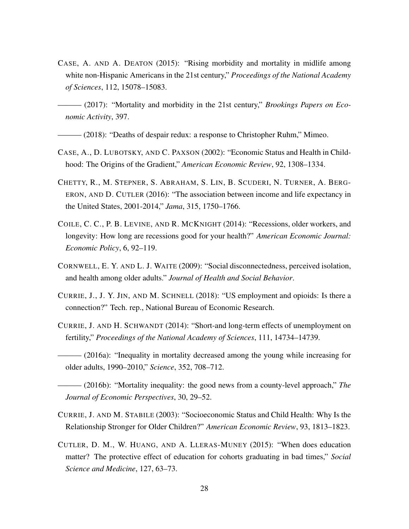CASE, A. AND A. DEATON (2015): "Rising morbidity and mortality in midlife among white non-Hispanic Americans in the 21st century," *Proceedings of the National Academy of Sciences*, 112, 15078–15083.

 $-$  (2017): "Mortality and morbidity in the 21st century," *Brookings Papers on Economic Activity*, 397.

——— (2018): "Deaths of despair redux: a response to Christopher Ruhm," Mimeo.

- CASE, A., D. LUBOTSKY, AND C. PAXSON (2002): "Economic Status and Health in Childhood: The Origins of the Gradient," *American Economic Review*, 92, 1308–1334.
- CHETTY, R., M. STEPNER, S. ABRAHAM, S. LIN, B. SCUDERI, N. TURNER, A. BERG-ERON, AND D. CUTLER (2016): "The association between income and life expectancy in the United States, 2001-2014," *Jama*, 315, 1750–1766.
- COILE, C. C., P. B. LEVINE, AND R. MCKNIGHT (2014): "Recessions, older workers, and longevity: How long are recessions good for your health?" *American Economic Journal: Economic Policy*, 6, 92–119.
- CORNWELL, E. Y. AND L. J. WAITE (2009): "Social disconnectedness, perceived isolation, and health among older adults." *Journal of Health and Social Behavior*.
- CURRIE, J., J. Y. JIN, AND M. SCHNELL (2018): "US employment and opioids: Is there a connection?" Tech. rep., National Bureau of Economic Research.
- CURRIE, J. AND H. SCHWANDT (2014): "Short-and long-term effects of unemployment on fertility," *Proceedings of the National Academy of Sciences*, 111, 14734–14739.
- ——— (2016a): "Inequality in mortality decreased among the young while increasing for older adults, 1990–2010," *Science*, 352, 708–712.
- $-$  (2016b): "Mortality inequality: the good news from a county-level approach," *The Journal of Economic Perspectives*, 30, 29–52.
- CURRIE, J. AND M. STABILE (2003): "Socioeconomic Status and Child Health: Why Is the Relationship Stronger for Older Children?" *American Economic Review*, 93, 1813–1823.
- CUTLER, D. M., W. HUANG, AND A. LLERAS-MUNEY (2015): "When does education matter? The protective effect of education for cohorts graduating in bad times," *Social Science and Medicine*, 127, 63–73.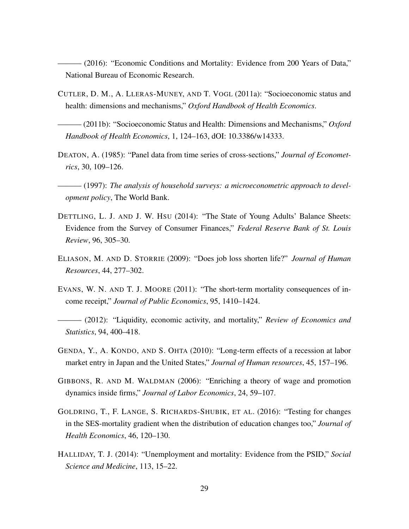——— (2016): "Economic Conditions and Mortality: Evidence from 200 Years of Data," National Bureau of Economic Research.

- CUTLER, D. M., A. LLERAS-MUNEY, AND T. VOGL (2011a): "Socioeconomic status and health: dimensions and mechanisms," *Oxford Handbook of Health Economics*.
- ——— (2011b): "Socioeconomic Status and Health: Dimensions and Mechanisms," *Oxford Handbook of Health Economics*, 1, 124–163, dOI: 10.3386/w14333.
- DEATON, A. (1985): "Panel data from time series of cross-sections," *Journal of Econometrics*, 30, 109–126.
- ——— (1997): *The analysis of household surveys: a microeconometric approach to development policy*, The World Bank.
- DETTLING, L. J. AND J. W. HSU (2014): "The State of Young Adults' Balance Sheets: Evidence from the Survey of Consumer Finances," *Federal Reserve Bank of St. Louis Review*, 96, 305–30.
- ELIASON, M. AND D. STORRIE (2009): "Does job loss shorten life?" *Journal of Human Resources*, 44, 277–302.
- EVANS, W. N. AND T. J. MOORE (2011): "The short-term mortality consequences of income receipt," *Journal of Public Economics*, 95, 1410–1424.
- ——— (2012): "Liquidity, economic activity, and mortality," *Review of Economics and Statistics*, 94, 400–418.
- GENDA, Y., A. KONDO, AND S. OHTA (2010): "Long-term effects of a recession at labor market entry in Japan and the United States," *Journal of Human resources*, 45, 157–196.
- GIBBONS, R. AND M. WALDMAN (2006): "Enriching a theory of wage and promotion dynamics inside firms," *Journal of Labor Economics*, 24, 59–107.
- GOLDRING, T., F. LANGE, S. RICHARDS-SHUBIK, ET AL. (2016): "Testing for changes in the SES-mortality gradient when the distribution of education changes too," *Journal of Health Economics*, 46, 120–130.
- HALLIDAY, T. J. (2014): "Unemployment and mortality: Evidence from the PSID," *Social Science and Medicine*, 113, 15–22.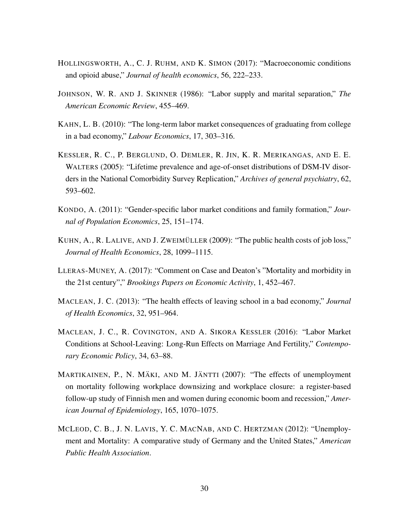- HOLLINGSWORTH, A., C. J. RUHM, AND K. SIMON (2017): "Macroeconomic conditions and opioid abuse," *Journal of health economics*, 56, 222–233.
- JOHNSON, W. R. AND J. SKINNER (1986): "Labor supply and marital separation," *The American Economic Review*, 455–469.
- KAHN, L. B. (2010): "The long-term labor market consequences of graduating from college in a bad economy," *Labour Economics*, 17, 303–316.
- KESSLER, R. C., P. BERGLUND, O. DEMLER, R. JIN, K. R. MERIKANGAS, AND E. E. WALTERS (2005): "Lifetime prevalence and age-of-onset distributions of DSM-IV disorders in the National Comorbidity Survey Replication," *Archives of general psychiatry*, 62, 593–602.
- KONDO, A. (2011): "Gender-specific labor market conditions and family formation," *Journal of Population Economics*, 25, 151–174.
- KUHN, A., R. LALIVE, AND J. ZWEIMÜLLER (2009): "The public health costs of job loss," *Journal of Health Economics*, 28, 1099–1115.
- LLERAS-MUNEY, A. (2017): "Comment on Case and Deaton's "Mortality and morbidity in the 21st century"," *Brookings Papers on Economic Activity*, 1, 452–467.
- MACLEAN, J. C. (2013): "The health effects of leaving school in a bad economy," *Journal of Health Economics*, 32, 951–964.
- MACLEAN, J. C., R. COVINGTON, AND A. SIKORA KESSLER (2016): "Labor Market Conditions at School-Leaving: Long-Run Effects on Marriage And Fertility," *Contemporary Economic Policy*, 34, 63–88.
- MARTIKAINEN, P., N. MÄKI, AND M. JÄNTTI (2007): "The effects of unemployment on mortality following workplace downsizing and workplace closure: a register-based follow-up study of Finnish men and women during economic boom and recession," *American Journal of Epidemiology*, 165, 1070–1075.
- MCLEOD, C. B., J. N. LAVIS, Y. C. MACNAB, AND C. HERTZMAN (2012): "Unemployment and Mortality: A comparative study of Germany and the United States," *American Public Health Association*.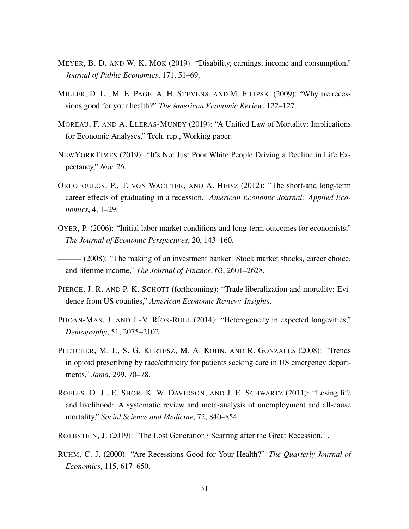- MEYER, B. D. AND W. K. MOK (2019): "Disability, earnings, income and consumption," *Journal of Public Economics*, 171, 51–69.
- MILLER, D. L., M. E. PAGE, A. H. STEVENS, AND M. FILIPSKI (2009): "Why are recessions good for your health?" *The American Economic Review*, 122–127.
- MOREAU, F. AND A. LLERAS-MUNEY (2019): "A Unified Law of Mortality: Implications for Economic Analyses," Tech. rep., Working paper.
- NEWYORKTIMES (2019): "It's Not Just Poor White People Driving a Decline in Life Expectancy," *Nov. 26*.
- OREOPOULOS, P., T. VON WACHTER, AND A. HEISZ (2012): "The short-and long-term career effects of graduating in a recession," *American Economic Journal: Applied Economics*, 4, 1–29.
- OYER, P. (2006): "Initial labor market conditions and long-term outcomes for economists," *The Journal of Economic Perspectives*, 20, 143–160.
- $(2008)$ : "The making of an investment banker: Stock market shocks, career choice, and lifetime income," *The Journal of Finance*, 63, 2601–2628.
- PIERCE, J. R. AND P. K. SCHOTT (forthcoming): "Trade liberalization and mortality: Evidence from US counties," *American Economic Review: Insights*.
- PIJOAN-MAS, J. AND J.-V. RÍOS-RULL (2014): "Heterogeneity in expected longevities," *Demography*, 51, 2075–2102.
- PLETCHER, M. J., S. G. KERTESZ, M. A. KOHN, AND R. GONZALES (2008): "Trends in opioid prescribing by race/ethnicity for patients seeking care in US emergency departments," *Jama*, 299, 70–78.
- ROELFS, D. J., E. SHOR, K. W. DAVIDSON, AND J. E. SCHWARTZ (2011): "Losing life and livelihood: A systematic review and meta-analysis of unemployment and all-cause mortality," *Social Science and Medicine*, 72, 840–854.
- ROTHSTEIN, J. (2019): "The Lost Generation? Scarring after the Great Recession," .
- RUHM, C. J. (2000): "Are Recessions Good for Your Health?" *The Quarterly Journal of Economics*, 115, 617–650.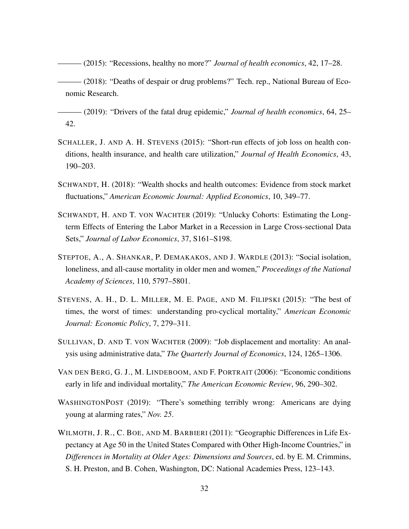- ——— (2015): "Recessions, healthy no more?" *Journal of health economics*, 42, 17–28.
- ——— (2018): "Deaths of despair or drug problems?" Tech. rep., National Bureau of Economic Research.
- ——— (2019): "Drivers of the fatal drug epidemic," *Journal of health economics*, 64, 25– 42.
- SCHALLER, J. AND A. H. STEVENS (2015): "Short-run effects of job loss on health conditions, health insurance, and health care utilization," *Journal of Health Economics*, 43, 190–203.
- SCHWANDT, H. (2018): "Wealth shocks and health outcomes: Evidence from stock market fluctuations," *American Economic Journal: Applied Economics*, 10, 349–77.
- SCHWANDT, H. AND T. VON WACHTER (2019): "Unlucky Cohorts: Estimating the Longterm Effects of Entering the Labor Market in a Recession in Large Cross-sectional Data Sets," *Journal of Labor Economics*, 37, S161–S198.
- STEPTOE, A., A. SHANKAR, P. DEMAKAKOS, AND J. WARDLE (2013): "Social isolation, loneliness, and all-cause mortality in older men and women," *Proceedings of the National Academy of Sciences*, 110, 5797–5801.
- STEVENS, A. H., D. L. MILLER, M. E. PAGE, AND M. FILIPSKI (2015): "The best of times, the worst of times: understanding pro-cyclical mortality," *American Economic Journal: Economic Policy*, 7, 279–311.
- SULLIVAN, D. AND T. VON WACHTER (2009): "Job displacement and mortality: An analysis using administrative data," *The Quarterly Journal of Economics*, 124, 1265–1306.
- VAN DEN BERG, G. J., M. LINDEBOOM, AND F. PORTRAIT (2006): "Economic conditions early in life and individual mortality," *The American Economic Review*, 96, 290–302.
- WASHINGTONPOST (2019): "There's something terribly wrong: Americans are dying young at alarming rates," *Nov. 25*.
- WILMOTH, J. R., C. BOE, AND M. BARBIERI (2011): "Geographic Differences in Life Expectancy at Age 50 in the United States Compared with Other High-Income Countries," in *Differences in Mortality at Older Ages: Dimensions and Sources*, ed. by E. M. Crimmins, S. H. Preston, and B. Cohen, Washington, DC: National Academies Press, 123–143.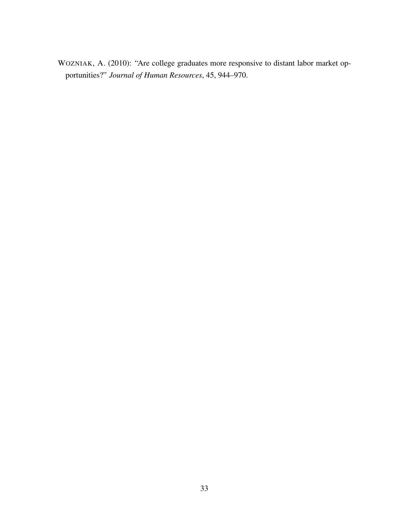WOZNIAK, A. (2010): "Are college graduates more responsive to distant labor market opportunities?" *Journal of Human Resources*, 45, 944–970.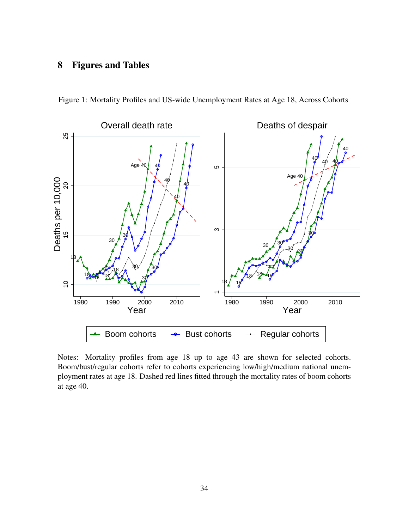# 8 Figures and Tables



Figure 1: Mortality Profiles and US-wide Unemployment Rates at Age 18, Across Cohorts

Notes: Mortality profiles from age 18 up to age 43 are shown for selected cohorts. Boom/bust/regular cohorts refer to cohorts experiencing low/high/medium national unemployment rates at age 18. Dashed red lines fitted through the mortality rates of boom cohorts at age 40.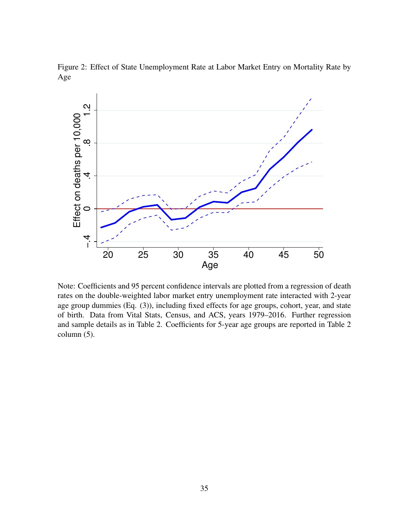

Figure 2: Effect of State Unemployment Rate at Labor Market Entry on Mortality Rate by Age

Note: Coefficients and 95 percent confidence intervals are plotted from a regression of death rates on the double-weighted labor market entry unemployment rate interacted with 2-year age group dummies (Eq. (3)), including fixed effects for age groups, cohort, year, and state of birth. Data from Vital Stats, Census, and ACS, years 1979–2016. Further regression and sample details as in Table 2. Coefficients for 5-year age groups are reported in Table 2 column (5).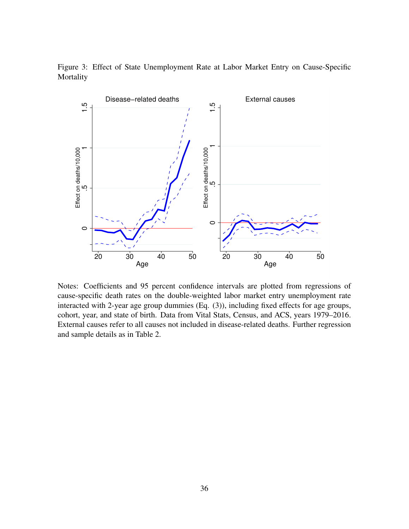

Figure 3: Effect of State Unemployment Rate at Labor Market Entry on Cause-Specific Mortality

Notes: Coefficients and 95 percent confidence intervals are plotted from regressions of cause-specific death rates on the double-weighted labor market entry unemployment rate interacted with 2-year age group dummies (Eq. (3)), including fixed effects for age groups, cohort, year, and state of birth. Data from Vital Stats, Census, and ACS, years 1979–2016. External causes refer to all causes not included in disease-related deaths. Further regression and sample details as in Table 2.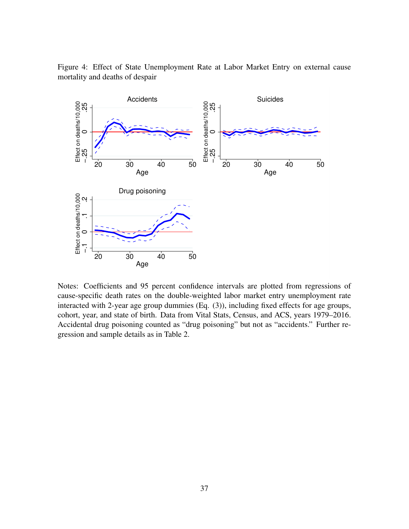

Figure 4: Effect of State Unemployment Rate at Labor Market Entry on external cause mortality and deaths of despair

Notes: Coefficients and 95 percent confidence intervals are plotted from regressions of cause-specific death rates on the double-weighted labor market entry unemployment rate interacted with 2-year age group dummies (Eq. (3)), including fixed effects for age groups, cohort, year, and state of birth. Data from Vital Stats, Census, and ACS, years 1979–2016. Accidental drug poisoning counted as "drug poisoning" but not as "accidents." Further regression and sample details as in Table 2.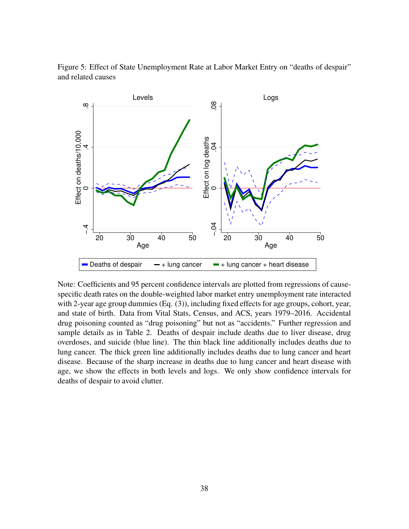

Figure 5: Effect of State Unemployment Rate at Labor Market Entry on "deaths of despair" and related causes

Note: Coefficients and 95 percent confidence intervals are plotted from regressions of causespecific death rates on the double-weighted labor market entry unemployment rate interacted with 2-year age group dummies (Eq. (3)), including fixed effects for age groups, cohort, year, and state of birth. Data from Vital Stats, Census, and ACS, years 1979–2016. Accidental drug poisoning counted as "drug poisoning" but not as "accidents." Further regression and sample details as in Table 2. Deaths of despair include deaths due to liver disease, drug overdoses, and suicide (blue line). The thin black line additionally includes deaths due to lung cancer. The thick green line additionally includes deaths due to lung cancer and heart disease. Because of the sharp increase in deaths due to lung cancer and heart disease with age, we show the effects in both levels and logs. We only show confidence intervals for deaths of despair to avoid clutter.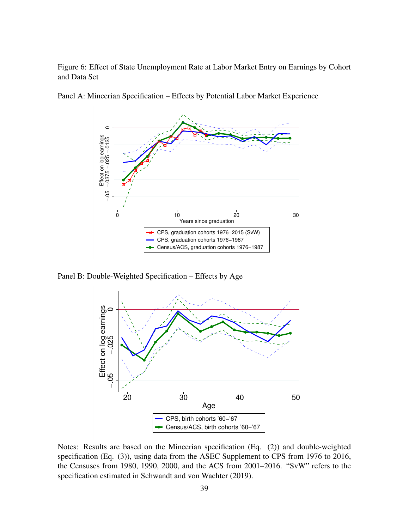Figure 6: Effect of State Unemployment Rate at Labor Market Entry on Earnings by Cohort and Data Set



Panel A: Mincerian Specification – Effects by Potential Labor Market Experience

Panel B: Double-Weighted Specification – Effects by Age



Notes: Results are based on the Mincerian specification (Eq. (2)) and double-weighted specification (Eq. (3)), using data from the ASEC Supplement to CPS from 1976 to 2016, the Censuses from 1980, 1990, 2000, and the ACS from 2001–2016. "SvW" refers to the specification estimated in Schwandt and von Wachter (2019).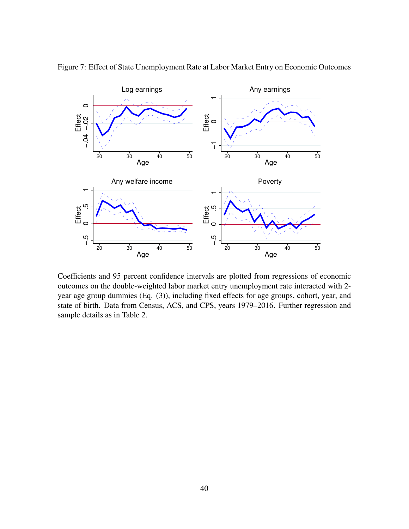

Figure 7: Effect of State Unemployment Rate at Labor Market Entry on Economic Outcomes

Coefficients and 95 percent confidence intervals are plotted from regressions of economic outcomes on the double-weighted labor market entry unemployment rate interacted with 2 year age group dummies (Eq. (3)), including fixed effects for age groups, cohort, year, and state of birth. Data from Census, ACS, and CPS, years 1979–2016. Further regression and sample details as in Table 2.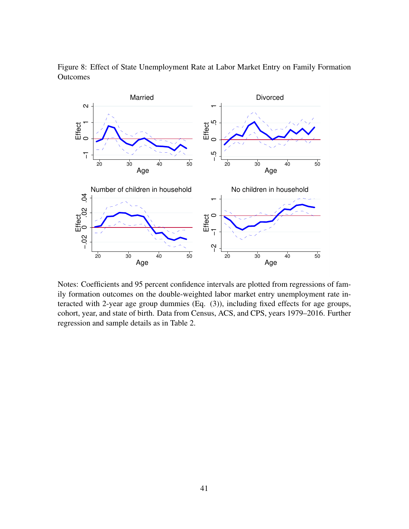

Figure 8: Effect of State Unemployment Rate at Labor Market Entry on Family Formation Outcomes

Notes: Coefficients and 95 percent confidence intervals are plotted from regressions of family formation outcomes on the double-weighted labor market entry unemployment rate interacted with 2-year age group dummies (Eq. (3)), including fixed effects for age groups, cohort, year, and state of birth. Data from Census, ACS, and CPS, years 1979–2016. Further regression and sample details as in Table 2.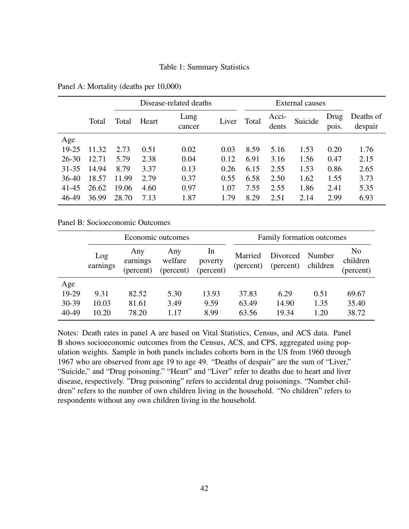## Table 1: Summary Statistics

|           |       |       | Disease-related deaths |                |       |       | External causes |         |               |                      |
|-----------|-------|-------|------------------------|----------------|-------|-------|-----------------|---------|---------------|----------------------|
|           | Total | Total | Heart                  | Lung<br>cancer | Liver | Total | Acci-<br>dents  | Suicide | Drug<br>pois. | Deaths of<br>despair |
| Age       |       |       |                        |                |       |       |                 |         |               |                      |
| 19-25     | 11.32 | 2.73  | 0.51                   | 0.02           | 0.03  | 8.59  | 5.16            | 1.53    | 0.20          | 1.76                 |
| $26 - 30$ | 12.71 | 5.79  | 2.38                   | 0.04           | 0.12  | 6.91  | 3.16            | 1.56    | 0.47          | 2.15                 |
| $31 - 35$ | 14.94 | 8.79  | 3.37                   | 0.13           | 0.26  | 6.15  | 2.55            | 1.53    | 0.86          | 2.65                 |
| $36-40$   | 18.57 | 11.99 | 2.79                   | 0.37           | 0.55  | 6.58  | 2.50            | 1.62    | 1.55          | 3.73                 |
| $41 - 45$ | 26.62 | 19.06 | 4.60                   | 0.97           | 1.07  | 7.55  | 2.55            | 1.86    | 2.41          | 5.35                 |
| 46-49     | 36.99 | 28.70 | 7.13                   | 1.87           | 1.79  | 8.29  | 2.51            | 2.14    | 2.99          | 6.93                 |

Panel A: Mortality (deaths per 10,000)

Panel B: Socioeconomic Outcomes

|           |                 |                              | Economic outcomes           |                            | Family formation outcomes |                       |                    |                                         |
|-----------|-----------------|------------------------------|-----------------------------|----------------------------|---------------------------|-----------------------|--------------------|-----------------------------------------|
|           | Log<br>earnings | Any<br>earnings<br>(percent) | Any<br>welfare<br>(percent) | In<br>poverty<br>(percent) | Married<br>(percent)      | Divorced<br>(percent) | Number<br>children | N <sub>0</sub><br>children<br>(percent) |
| Age       |                 |                              |                             |                            |                           |                       |                    |                                         |
| 19-29     | 9.31            | 82.52                        | 5.30                        | 13.93                      | 37.83                     | 6.29                  | 0.51               | 69.67                                   |
| $30 - 39$ | 10.03           | 81.61                        | 3.49                        | 9.59                       | 63.49                     | 14.90                 | 1.35               | 35.40                                   |
| 40-49     | 10.20           | 78.20                        | 1.17                        | 8.99                       | 63.56                     | 19.34                 | 1.20               | 38.72                                   |

Notes: Death rates in panel A are based on Vital Statistics, Census, and ACS data. Panel B shows socioeconomic outcomes from the Census, ACS, and CPS, aggregated using population weights. Sample in both panels includes cohorts born in the US from 1960 through 1967 who are observed from age 19 to age 49. "Deaths of despair" are the sum of "Liver," "Suicide," and "Drug poisoning." "Heart" and "Liver" refer to deaths due to heart and liver disease, respectively. "Drug poisoning" refers to accidental drug poisonings. "Number children" refers to the number of own children living in the household. "No children" refers to respondents without any own children living in the household.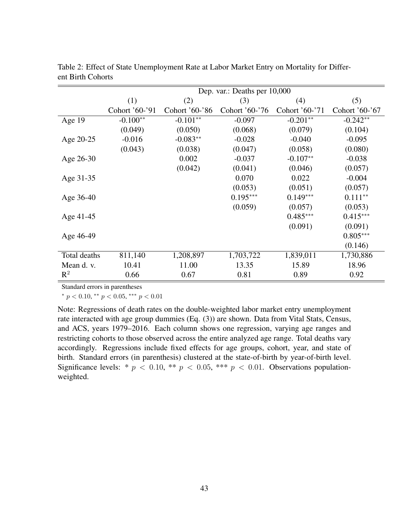|              |                |                | Dep. var.: Deaths per 10,000 |                |                |
|--------------|----------------|----------------|------------------------------|----------------|----------------|
|              | (1)            | (2)            | (3)                          | (4)            | (5)            |
|              | Cohort '60-'91 | Cohort '60-'86 | Cohort '60-'76               | Cohort '60-'71 | Cohort '60-'67 |
| Age 19       | $-0.100**$     | $-0.101**$     | $-0.097$                     | $-0.201**$     | $-0.242**$     |
|              | (0.049)        | (0.050)        | (0.068)                      | (0.079)        | (0.104)        |
| Age 20-25    | $-0.016$       | $-0.083**$     | $-0.028$                     | $-0.040$       | $-0.095$       |
|              | (0.043)        | (0.038)        | (0.047)                      | (0.058)        | (0.080)        |
| Age 26-30    |                | 0.002          | $-0.037$                     | $-0.107**$     | $-0.038$       |
|              |                | (0.042)        | (0.041)                      | (0.046)        | (0.057)        |
| Age 31-35    |                |                | 0.070                        | 0.022          | $-0.004$       |
|              |                |                | (0.053)                      | (0.051)        | (0.057)        |
| Age 36-40    |                |                | $0.195***$                   | $0.149***$     | $0.111**$      |
|              |                |                | (0.059)                      | (0.057)        | (0.053)        |
| Age 41-45    |                |                |                              | $0.485***$     | $0.415***$     |
|              |                |                |                              | (0.091)        | (0.091)        |
| Age 46-49    |                |                |                              |                | $0.805***$     |
|              |                |                |                              |                | (0.146)        |
| Total deaths | 811,140        | 1,208,897      | 1,703,722                    | 1,839,011      | 1,730,886      |
| Mean d. v.   | 10.41          | 11.00          | 13.35                        | 15.89          | 18.96          |
| $R^2$        | 0.66           | 0.67           | 0.81                         | 0.89           | 0.92           |

Table 2: Effect of State Unemployment Rate at Labor Market Entry on Mortality for Different Birth Cohorts

Standard errors in parentheses

\*  $p < 0.10$ , \*\*  $p < 0.05$ , \*\*\*  $p < 0.01$ 

Note: Regressions of death rates on the double-weighted labor market entry unemployment rate interacted with age group dummies (Eq. (3)) are shown. Data from Vital Stats, Census, and ACS, years 1979–2016. Each column shows one regression, varying age ranges and restricting cohorts to those observed across the entire analyzed age range. Total deaths vary accordingly. Regressions include fixed effects for age groups, cohort, year, and state of birth. Standard errors (in parenthesis) clustered at the state-of-birth by year-of-birth level. Significance levels: \*  $p < 0.10$ , \*\*  $p < 0.05$ , \*\*\*  $p < 0.01$ . Observations populationweighted.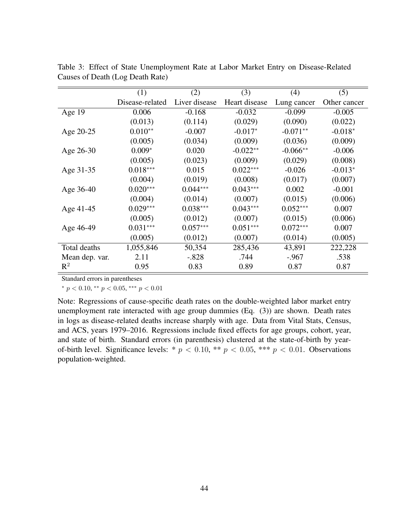|                | (1)             | (2)           | (3)           | (4)         | (5)          |
|----------------|-----------------|---------------|---------------|-------------|--------------|
|                | Disease-related | Liver disease | Heart disease | Lung cancer | Other cancer |
| Age 19         | 0.006           | $-0.168$      | $-0.032$      | $-0.099$    | $-0.005$     |
|                | (0.013)         | (0.114)       | (0.029)       | (0.090)     | (0.022)      |
| Age 20-25      | $0.010**$       | $-0.007$      | $-0.017*$     | $-0.071**$  | $-0.018*$    |
|                | (0.005)         | (0.034)       | (0.009)       | (0.036)     | (0.009)      |
| Age 26-30      | $0.009*$        | 0.020         | $-0.022**$    | $-0.066**$  | $-0.006$     |
|                | (0.005)         | (0.023)       | (0.009)       | (0.029)     | (0.008)      |
| Age 31-35      | $0.018***$      | 0.015         | $0.022***$    | $-0.026$    | $-0.013*$    |
|                | (0.004)         | (0.019)       | (0.008)       | (0.017)     | (0.007)      |
| Age 36-40      | $0.020***$      | $0.044***$    | $0.043***$    | 0.002       | $-0.001$     |
|                | (0.004)         | (0.014)       | (0.007)       | (0.015)     | (0.006)      |
| Age 41-45      | $0.029***$      | $0.038***$    | $0.043***$    | $0.052***$  | 0.007        |
|                | (0.005)         | (0.012)       | (0.007)       | (0.015)     | (0.006)      |
| Age 46-49      | $0.031***$      | $0.057***$    | $0.051***$    | $0.072***$  | 0.007        |
|                | (0.005)         | (0.012)       | (0.007)       | (0.014)     | (0.005)      |
| Total deaths   | 1,055,846       | 50,354        | 285,436       | 43,891      | 222,228      |
| Mean dep. var. | 2.11            | $-.828$       | .744          | $-.967$     | .538         |
| $\mathbb{R}^2$ | 0.95            | 0.83          | 0.89          | 0.87        | 0.87         |

Table 3: Effect of State Unemployment Rate at Labor Market Entry on Disease-Related Causes of Death (Log Death Rate)

Standard errors in parentheses

\*  $p < 0.10$ , \*\*  $p < 0.05$ , \*\*\*  $p < 0.01$ 

Note: Regressions of cause-specific death rates on the double-weighted labor market entry unemployment rate interacted with age group dummies (Eq. (3)) are shown. Death rates in logs as disease-related deaths increase sharply with age. Data from Vital Stats, Census, and ACS, years 1979–2016. Regressions include fixed effects for age groups, cohort, year, and state of birth. Standard errors (in parenthesis) clustered at the state-of-birth by yearof-birth level. Significance levels: \*  $p < 0.10$ , \*\*  $p < 0.05$ , \*\*\*  $p < 0.01$ . Observations population-weighted.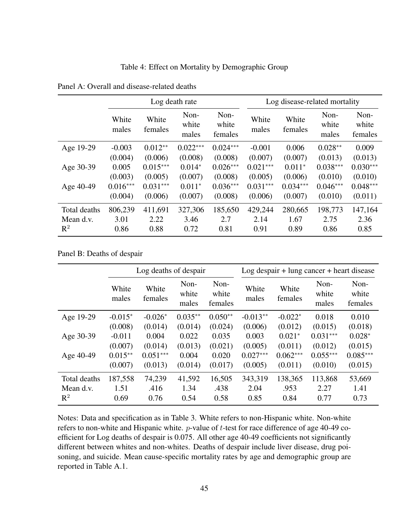Table 4: Effect on Mortality by Demographic Group

|                |                |                  | Log death rate         |                          |                | Log disease-related mortality |                        |                          |  |
|----------------|----------------|------------------|------------------------|--------------------------|----------------|-------------------------------|------------------------|--------------------------|--|
|                | White<br>males | White<br>females | Non-<br>white<br>males | Non-<br>white<br>females | White<br>males | White<br>females              | Non-<br>white<br>males | Non-<br>white<br>females |  |
| Age 19-29      | $-0.003$       | $0.012**$        | $0.022***$             | $0.024***$               | $-0.001$       | 0.006                         | $0.028**$              | 0.009                    |  |
|                | (0.004)        | (0.006)          | (0.008)                | (0.008)                  | (0.007)        | (0.007)                       | (0.013)                | (0.013)                  |  |
| Age 30-39      | 0.005          | $0.015***$       | $0.014*$               | $0.026***$               | $0.021***$     | $0.011*$                      | $0.038***$             | $0.030***$               |  |
|                | (0.003)        | (0.005)          | (0.007)                | (0.008)                  | (0.005)        | (0.006)                       | (0.010)                | (0.010)                  |  |
| Age 40-49      | $0.016***$     | $0.031***$       | $0.011*$               | $0.036***$               | $0.031***$     | $0.034***$                    | $0.046***$             | $0.048***$               |  |
|                | (0.004)        | (0.006)          | (0.007)                | (0.008)                  | (0.006)        | (0.007)                       | (0.010)                | (0.011)                  |  |
| Total deaths   | 806,239        | 411,691          | 327,306                | 185,650                  | 429,244        | 280,665                       | 198,773                | 147,164                  |  |
| Mean d.v.      | 3.01           | 2.22             | 3.46                   | 2.7                      | 2.14           | 1.67                          | 2.75                   | 2.36                     |  |
| $\mathbb{R}^2$ | 0.86           | 0.88             | 0.72                   | 0.81                     | 0.91           | 0.89                          | 0.86                   | 0.85                     |  |

Panel A: Overall and disease-related deaths

Panel B: Deaths of despair

|              |                | Log deaths of despair |                        |                          |                | $Log$ despair + lung cancer + heart disease |                        |                          |  |
|--------------|----------------|-----------------------|------------------------|--------------------------|----------------|---------------------------------------------|------------------------|--------------------------|--|
|              | White<br>males | White<br>females      | Non-<br>white<br>males | Non-<br>white<br>females | White<br>males | White<br>females                            | Non-<br>white<br>males | Non-<br>white<br>females |  |
| Age 19-29    | $-0.015*$      | $-0.026*$             | $0.035**$              | $0.050**$                | $-0.013**$     | $-0.022*$                                   | 0.018                  | 0.010                    |  |
|              | (0.008)        | (0.014)               | (0.014)                | (0.024)                  | (0.006)        | (0.012)                                     | (0.015)                | (0.018)                  |  |
| Age 30-39    | $-0.011$       | 0.004                 | 0.022                  | 0.035                    | 0.003          | $0.021*$                                    | $0.031***$             | $0.028*$                 |  |
|              | (0.007)        | (0.014)               | (0.013)                | (0.021)                  | (0.005)        | (0.011)                                     | (0.012)                | (0.015)                  |  |
| Age 40-49    | $0.015**$      | $0.051***$            | 0.004                  | 0.020                    | $0.027***$     | $0.062***$                                  | $0.055***$             | $0.085***$               |  |
|              | (0.007)        | (0.013)               | (0.014)                | (0.017)                  | (0.005)        | (0.011)                                     | (0.010)                | (0.015)                  |  |
| Total deaths | 187,558        | 74,239                | 41,592                 | 16,505                   | 343,319        | 138,365                                     | 113,868                | 53,669                   |  |
| Mean d.v.    | 1.51           | .416                  | 1.34                   | .438                     | 2.04           | .953                                        | 2.27                   | 1.41                     |  |
| $R^2$        | 0.69           | 0.76                  | 0.54                   | 0.58                     | 0.85           | 0.84                                        | 0.77                   | 0.73                     |  |

Notes: Data and specification as in Table 3. White refers to non-Hispanic white. Non-white refers to non-white and Hispanic white.  $p$ -value of t-test for race difference of age 40-49 coefficient for Log deaths of despair is 0.075. All other age 40-49 coefficients not significantly different between whites and non-whites. Deaths of despair include liver disease, drug poisoning, and suicide. Mean cause-specific mortality rates by age and demographic group are reported in Table A.1.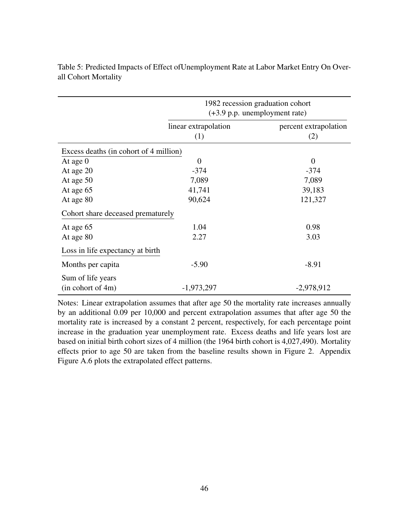|                                        |                      | 1982 recession graduation cohort<br>$(+3.9 \text{ p.p.}$ unemployment rate) |
|----------------------------------------|----------------------|-----------------------------------------------------------------------------|
|                                        | linear extrapolation | percent extrapolation                                                       |
|                                        | (1)                  | (2)                                                                         |
| Excess deaths (in cohort of 4 million) |                      |                                                                             |
| At age $0$                             | $\overline{0}$       | $\overline{0}$                                                              |
| At age 20                              | $-374$               | $-374$                                                                      |
| At age 50                              | 7,089                | 7,089                                                                       |
| At age 65                              | 41,741               | 39,183                                                                      |
| At age 80                              | 90,624               | 121,327                                                                     |
| Cohort share deceased prematurely      |                      |                                                                             |
| At age 65                              | 1.04                 | 0.98                                                                        |
| At age 80                              | 2.27                 | 3.03                                                                        |
| Loss in life expectancy at birth       |                      |                                                                             |
| Months per capita                      | $-5.90$              | $-8.91$                                                                     |
| Sum of life years                      |                      |                                                                             |
| $(in \text{ cohort of } 4m)$           | $-1,973,297$         | $-2,978,912$                                                                |

Table 5: Predicted Impacts of Effect ofUnemployment Rate at Labor Market Entry On Overall Cohort Mortality

Notes: Linear extrapolation assumes that after age 50 the mortality rate increases annually by an additional 0.09 per 10,000 and percent extrapolation assumes that after age 50 the mortality rate is increased by a constant 2 percent, respectively, for each percentage point increase in the graduation year unemployment rate. Excess deaths and life years lost are based on initial birth cohort sizes of 4 million (the 1964 birth cohort is 4,027,490). Mortality effects prior to age 50 are taken from the baseline results shown in Figure 2. Appendix Figure A.6 plots the extrapolated effect patterns.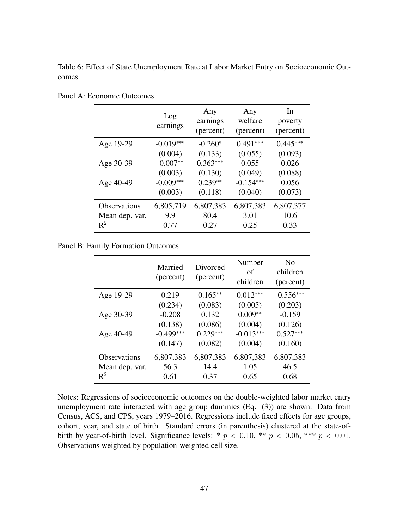Table 6: Effect of State Unemployment Rate at Labor Market Entry on Socioeconomic Outcomes

|                | Log<br>earnings | Any<br>earnings<br>(percent) | Any<br>welfare<br>(percent) | In<br>poverty<br>(percent) |
|----------------|-----------------|------------------------------|-----------------------------|----------------------------|
| Age 19-29      | $-0.019***$     | $-0.260*$                    | $0.491***$                  | $0.445***$                 |
|                | (0.004)         | (0.133)                      | (0.055)                     | (0.093)                    |
| Age 30-39      | $-0.007**$      | $0.363***$                   | 0.055                       | 0.026                      |
|                | (0.003)         | (0.130)                      | (0.049)                     | (0.088)                    |
| Age 40-49      | $-0.009***$     | $0.239**$                    | $-0.154***$                 | 0.056                      |
|                | (0.003)         | (0.118)                      | (0.040)                     | (0.073)                    |
| Observations   | 6,805,719       | 6,807,383                    | 6,807,383                   | 6,807,377                  |
| Mean dep. var. | 9.9             | 80.4                         | 3.01                        | 10.6                       |
| $\mathbf{R}^2$ | 0.77            | 0.27                         | 0.25                        | 0.33                       |

Panel A: Economic Outcomes

Panel B: Family Formation Outcomes

|                     | Married<br>(percent) | Divorced<br>(percent) | Number<br>of<br>children | No<br>children<br>(percent) |
|---------------------|----------------------|-----------------------|--------------------------|-----------------------------|
| Age 19-29           | 0.219                | $0.165***$            | $0.012***$               | $-0.556***$                 |
|                     | (0.234)              | (0.083)               | (0.005)                  | (0.203)                     |
| Age 30-39           | $-0.208$             | 0.132                 | $0.009**$                | $-0.159$                    |
|                     | (0.138)              | (0.086)               | (0.004)                  | (0.126)                     |
| Age 40-49           | $-0.499***$          | $0.229***$            | $-0.013***$              | $0.527***$                  |
|                     | (0.147)              | (0.082)               | (0.004)                  | (0.160)                     |
| <b>Observations</b> | 6,807,383            | 6,807,383             | 6,807,383                | 6,807,383                   |
| Mean dep. var.      | 56.3                 | 14.4                  | 1.05                     | 46.5                        |
| $\mathbb{R}^2$      | 0.61                 | 0.37                  | 0.65                     | 0.68                        |

Notes: Regressions of socioeconomic outcomes on the double-weighted labor market entry unemployment rate interacted with age group dummies (Eq. (3)) are shown. Data from Census, ACS, and CPS, years 1979–2016. Regressions include fixed effects for age groups, cohort, year, and state of birth. Standard errors (in parenthesis) clustered at the state-ofbirth by year-of-birth level. Significance levels: \*  $p < 0.10$ , \*\*  $p < 0.05$ , \*\*\*  $p < 0.01$ . Observations weighted by population-weighted cell size.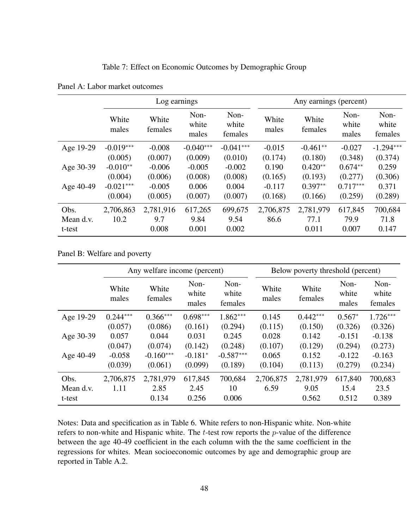Table 7: Effect on Economic Outcomes by Demographic Group

|                             |                   | Log earnings              |                          |                          |                   | Any earnings (percent)     |                          |                          |
|-----------------------------|-------------------|---------------------------|--------------------------|--------------------------|-------------------|----------------------------|--------------------------|--------------------------|
|                             | White<br>males    | White<br>females          | Non-<br>white<br>males   | Non-<br>white<br>females | White<br>males    | White<br>females           | Non-<br>white<br>males   | Non-<br>white<br>females |
| Age 19-29                   | $-0.019***$       | $-0.008$                  | $-0.040***$              | $-0.041***$              | $-0.015$          | $-0.461**$                 | $-0.027$                 | $-1.294***$              |
|                             | (0.005)           | (0.007)                   | (0.009)                  | (0.010)                  | (0.174)           | (0.180)                    | (0.348)                  | (0.374)                  |
| Age 30-39                   | $-0.010**$        | $-0.006$                  | $-0.005$                 | $-0.002$                 | 0.190             | $0.420**$                  | $0.674**$                | 0.259                    |
|                             | (0.004)           | (0.006)                   | (0.008)                  | (0.008)                  | (0.165)           | (0.193)                    | (0.277)                  | (0.306)                  |
| Age 40-49                   | $-0.021***$       | $-0.005$                  | 0.006                    | 0.004                    | $-0.117$          | $0.397**$                  | $0.717***$               | 0.371                    |
|                             | (0.004)           | (0.005)                   | (0.007)                  | (0.007)                  | (0.168)           | (0.166)                    | (0.259)                  | (0.289)                  |
| Obs.<br>Mean d.v.<br>t-test | 2,706,863<br>10.2 | 2,781,916<br>9.7<br>0.008 | 617,265<br>9.84<br>0.001 | 699,675<br>9.54<br>0.002 | 2,706,875<br>86.6 | 2,781,979<br>77.1<br>0.011 | 617,845<br>79.9<br>0.007 | 700,684<br>71.8<br>0.147 |

Panel A: Labor market outcomes

Panel B: Welfare and poverty

|                   | Any welfare income (percent) |                        |                          |                   | Below poverty threshold (percent) |                        |                          |  |
|-------------------|------------------------------|------------------------|--------------------------|-------------------|-----------------------------------|------------------------|--------------------------|--|
| White<br>males    | White<br>females             | Non-<br>white<br>males | Non-<br>white<br>females | White<br>males    | White<br>females                  | Non-<br>white<br>males | Non-<br>white<br>females |  |
| $0.244***$        | $0.366***$                   | $0.698***$             | $1.862***$               | 0.145             | $0.442***$                        | $0.567*$               | $1.726***$               |  |
| (0.057)           | (0.086)                      | (0.161)                | (0.294)                  | (0.115)           | (0.150)                           | (0.326)                | (0.326)                  |  |
| 0.057             | 0.044                        | 0.031                  | 0.245                    | 0.028             | 0.142                             | $-0.151$               | $-0.138$                 |  |
| (0.047)           | (0.074)                      | (0.142)                | (0.248)                  | (0.107)           | (0.129)                           | (0.294)                | (0.273)                  |  |
| $-0.058$          | $-0.160***$                  | $-0.181*$              | $-0.587***$              | 0.065             | 0.152                             | $-0.122$               | $-0.163$                 |  |
| (0.039)           | (0.061)                      | (0.099)                | (0.189)                  | (0.104)           | (0.113)                           | (0.279)                | (0.234)                  |  |
| 2,706,875<br>1.11 | 2,781,979<br>2.85            | 617,845<br>2.45        | 700,684<br>10            | 2,706,875<br>6.59 | 2,781,979<br>9.05                 | 617,840<br>15.4        | 700,683<br>23.5<br>0.389 |  |
|                   |                              | 0.134                  | 0.256                    | 0.006             |                                   | 0.562                  | 0.512                    |  |

Notes: Data and specification as in Table 6. White refers to non-Hispanic white. Non-white refers to non-white and Hispanic white. The  $t$ -test row reports the  $p$ -value of the difference between the age 40-49 coefficient in the each column with the the same coefficient in the regressions for whites. Mean socioeconomic outcomes by age and demographic group are reported in Table A.2.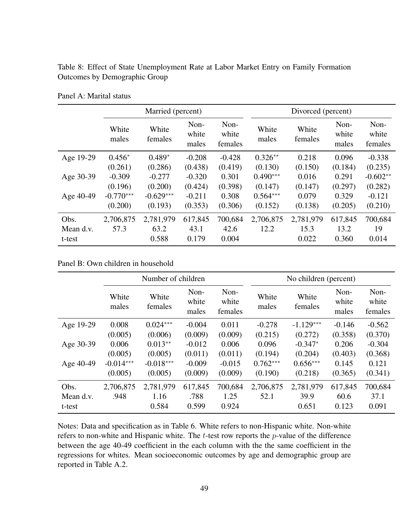Table 8: Effect of State Unemployment Rate at Labor Market Entry on Family Formation Outcomes by Demographic Group

|           |                | Married (percent) |                        |                          |                | Divorced (percent) |                        |                          |  |
|-----------|----------------|-------------------|------------------------|--------------------------|----------------|--------------------|------------------------|--------------------------|--|
|           | White<br>males | White<br>females  | Non-<br>white<br>males | Non-<br>white<br>females | White<br>males | White<br>females   | Non-<br>white<br>males | Non-<br>white<br>females |  |
| Age 19-29 | $0.456*$       | $0.489*$          | $-0.208$               | $-0.428$                 | $0.326**$      | 0.218              | 0.096                  | $-0.338$                 |  |
|           | (0.261)        | (0.286)           | (0.438)                | (0.419)                  | (0.130)        | (0.150)            | (0.184)                | (0.235)                  |  |
| Age 30-39 | $-0.309$       | $-0.277$          | $-0.320$               | 0.301                    | $0.490***$     | 0.016              | 0.291                  | $-0.602**$               |  |
|           | (0.196)        | (0.200)           | (0.424)                | (0.398)                  | (0.147)        | (0.147)            | (0.297)                | (0.282)                  |  |
| Age 40-49 | $-0.770***$    | $-0.629***$       | $-0.211$               | 0.308                    | $0.564***$     | 0.079              | 0.329                  | $-0.121$                 |  |
|           | (0.200)        | (0.193)           | (0.353)                | (0.306)                  | (0.152)        | (0.138)            | (0.205)                | (0.210)                  |  |
| Obs.      | 2,706,875      | 2,781,979         | 617,845                | 700,684                  | 2,706,875      | 2,781,979          | 617,845                | 700,684                  |  |
| Mean d.v. | 57.3           | 63.2              | 43.1                   | 42.6                     | 12.2           | 15.3               | 13.2                   | 19                       |  |
| t-test    |                | 0.588             | 0.179                  | 0.004                    |                | 0.022              | 0.360                  | 0.014                    |  |

Panel A: Marital status

Panel B: Own children in household

|           |                | Number of children |                        |                          |                | No children (percent) |                        |                          |  |
|-----------|----------------|--------------------|------------------------|--------------------------|----------------|-----------------------|------------------------|--------------------------|--|
|           | White<br>males | White<br>females   | Non-<br>white<br>males | Non-<br>white<br>females | White<br>males | White<br>females      | Non-<br>white<br>males | Non-<br>white<br>females |  |
| Age 19-29 | 0.008          | $0.024***$         | $-0.004$               | 0.011                    | $-0.278$       | $-1.129***$           | $-0.146$               | $-0.562$                 |  |
|           | (0.005)        | (0.006)            | (0.009)                | (0.009)                  | (0.215)        | (0.272)               | (0.358)                | (0.370)                  |  |
| Age 30-39 | 0.006          | $0.013**$          | $-0.012$               | 0.006                    | 0.096          | $-0.347*$             | 0.206                  | $-0.304$                 |  |
|           | (0.005)        | (0.005)            | (0.011)                | (0.011)                  | (0.194)        | (0.204)               | (0.403)                | (0.368)                  |  |
| Age 40-49 | $-0.014***$    | $-0.018***$        | $-0.009$               | $-0.015$                 | $0.762***$     | $0.656***$            | 0.145                  | 0.121                    |  |
|           | (0.005)        | (0.005)            | (0.009)                | (0.009)                  | (0.190)        | (0.218)               | (0.365)                | (0.341)                  |  |
| Obs.      | 2,706,875      | 2,781,979          | 617,845                | 700,684                  | 2,706,875      | 2,781,979             | 617,845                | 700,684                  |  |
| Mean d.v. | .948           | 1.16               | .788                   | 1.25                     | 52.1           | 39.9                  | 60.6                   | 37.1                     |  |
| t-test    |                | 0.584              | 0.599                  | 0.924                    |                | 0.651                 | 0.123                  | 0.091                    |  |

Notes: Data and specification as in Table 6. White refers to non-Hispanic white. Non-white refers to non-white and Hispanic white. The *t*-test row reports the *p*-value of the difference between the age 40-49 coefficient in the each column with the the same coefficient in the regressions for whites. Mean socioeconomic outcomes by age and demographic group are reported in Table A.2.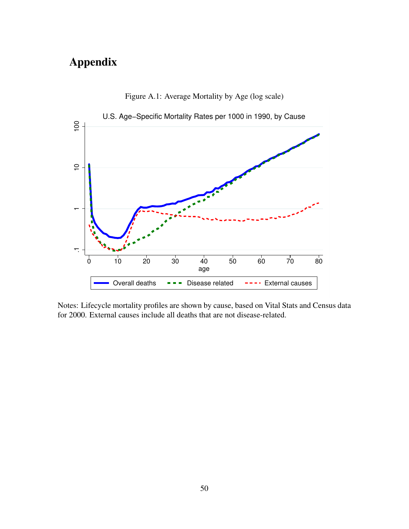# Appendix



Figure A.1: Average Mortality by Age (log scale)

Notes: Lifecycle mortality profiles are shown by cause, based on Vital Stats and Census data for 2000. External causes include all deaths that are not disease-related.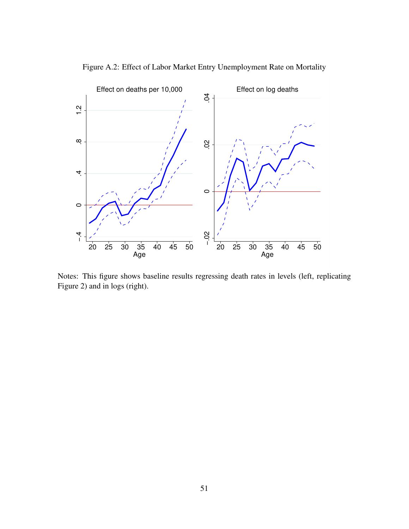

Figure A.2: Effect of Labor Market Entry Unemployment Rate on Mortality

Notes: This figure shows baseline results regressing death rates in levels (left, replicating Figure 2) and in logs (right).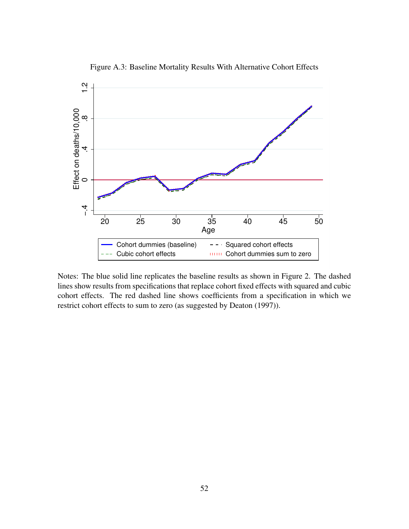

Figure A.3: Baseline Mortality Results With Alternative Cohort Effects

Notes: The blue solid line replicates the baseline results as shown in Figure 2. The dashed lines show results from specifications that replace cohort fixed effects with squared and cubic cohort effects. The red dashed line shows coefficients from a specification in which we restrict cohort effects to sum to zero (as suggested by Deaton (1997)).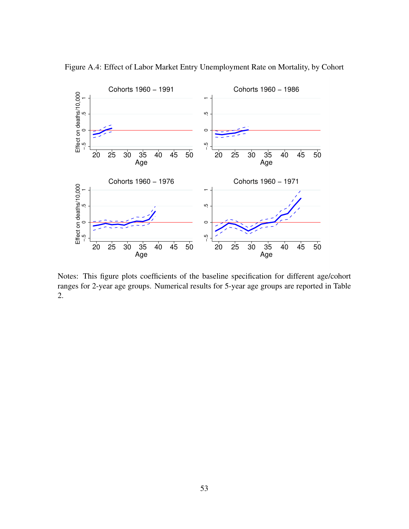

Figure A.4: Effect of Labor Market Entry Unemployment Rate on Mortality, by Cohort

Notes: This figure plots coefficients of the baseline specification for different age/cohort ranges for 2-year age groups. Numerical results for 5-year age groups are reported in Table 2.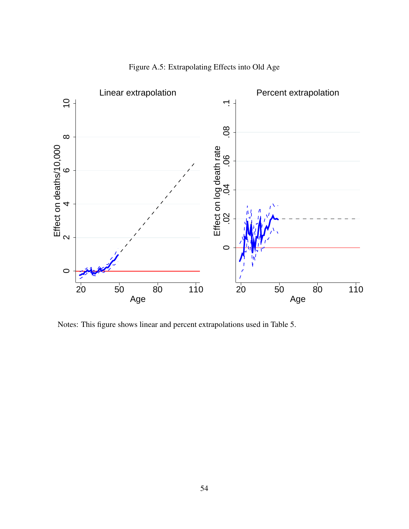

Figure A.5: Extrapolating Effects into Old Age

Notes: This figure shows linear and percent extrapolations used in Table 5.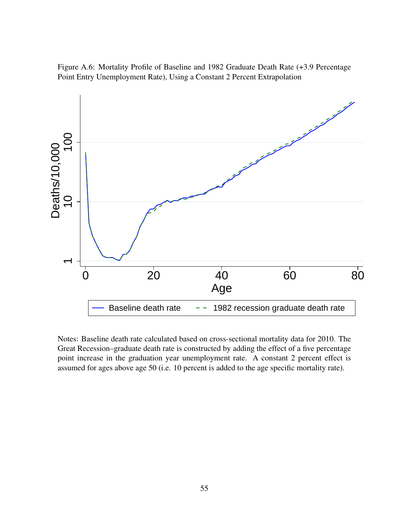Figure A.6: Mortality Profile of Baseline and 1982 Graduate Death Rate (+3.9 Percentage Point Entry Unemployment Rate), Using a Constant 2 Percent Extrapolation



Notes: Baseline death rate calculated based on cross-sectional mortality data for 2010. The Great Recession–graduate death rate is constructed by adding the effect of a five percentage point increase in the graduation year unemployment rate. A constant 2 percent effect is assumed for ages above age 50 (i.e. 10 percent is added to the age specific mortality rate).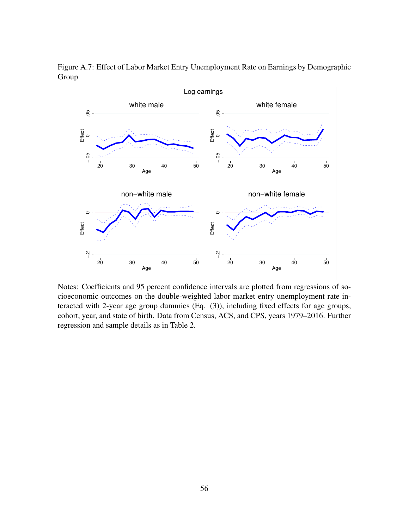

Figure A.7: Effect of Labor Market Entry Unemployment Rate on Earnings by Demographic Group

Notes: Coefficients and 95 percent confidence intervals are plotted from regressions of socioeconomic outcomes on the double-weighted labor market entry unemployment rate interacted with 2-year age group dummies (Eq. (3)), including fixed effects for age groups, cohort, year, and state of birth. Data from Census, ACS, and CPS, years 1979–2016. Further regression and sample details as in Table 2.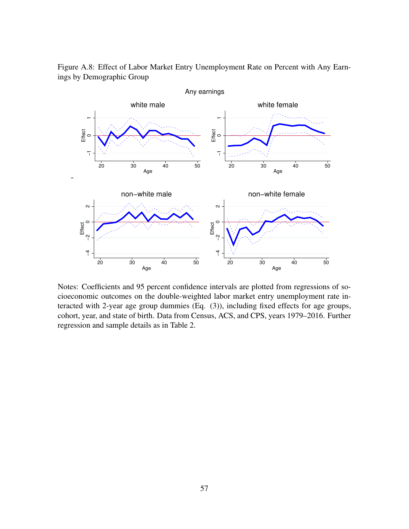

Figure A.8: Effect of Labor Market Entry Unemployment Rate on Percent with Any Earnings by Demographic Group

Notes: Coefficients and 95 percent confidence intervals are plotted from regressions of socioeconomic outcomes on the double-weighted labor market entry unemployment rate interacted with 2-year age group dummies (Eq. (3)), including fixed effects for age groups, cohort, year, and state of birth. Data from Census, ACS, and CPS, years 1979–2016. Further regression and sample details as in Table 2.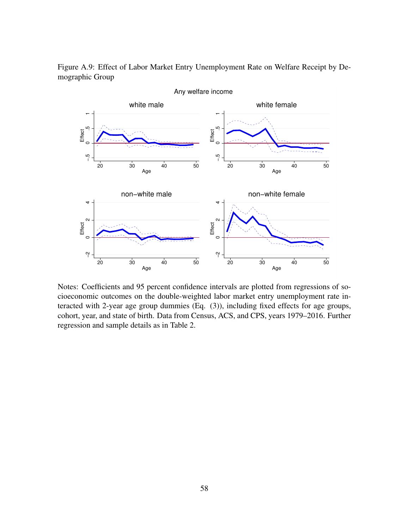

Figure A.9: Effect of Labor Market Entry Unemployment Rate on Welfare Receipt by Demographic Group

Notes: Coefficients and 95 percent confidence intervals are plotted from regressions of socioeconomic outcomes on the double-weighted labor market entry unemployment rate interacted with 2-year age group dummies (Eq. (3)), including fixed effects for age groups, cohort, year, and state of birth. Data from Census, ACS, and CPS, years 1979–2016. Further regression and sample details as in Table 2.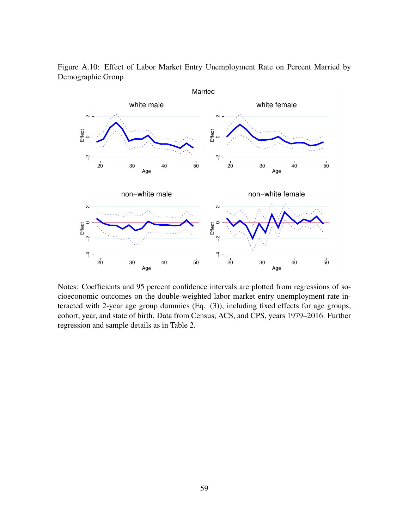

Figure A.10: Effect of Labor Market Entry Unemployment Rate on Percent Married by Demographic Group

Notes: Coefficients and 95 percent confidence intervals are plotted from regressions of socioeconomic outcomes on the double-weighted labor market entry unemployment rate interacted with 2-year age group dummies (Eq. (3)), including fixed effects for age groups, cohort, year, and state of birth. Data from Census, ACS, and CPS, years 1979–2016. Further regression and sample details as in Table 2.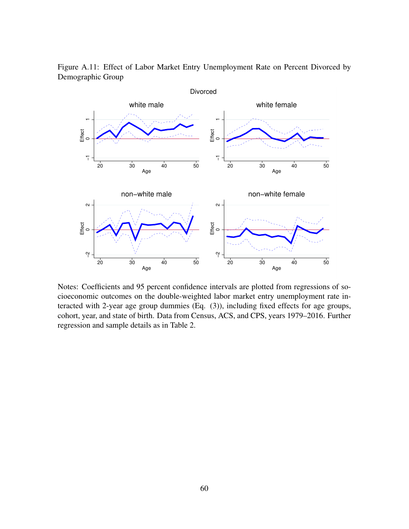

Figure A.11: Effect of Labor Market Entry Unemployment Rate on Percent Divorced by Demographic Group

Notes: Coefficients and 95 percent confidence intervals are plotted from regressions of socioeconomic outcomes on the double-weighted labor market entry unemployment rate interacted with 2-year age group dummies (Eq. (3)), including fixed effects for age groups, cohort, year, and state of birth. Data from Census, ACS, and CPS, years 1979–2016. Further regression and sample details as in Table 2.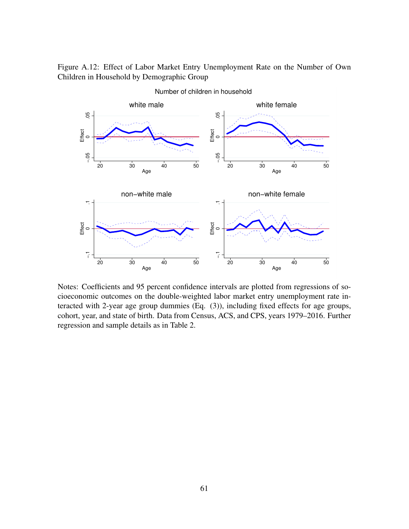Figure A.12: Effect of Labor Market Entry Unemployment Rate on the Number of Own Children in Household by Demographic Group



Notes: Coefficients and 95 percent confidence intervals are plotted from regressions of socioeconomic outcomes on the double-weighted labor market entry unemployment rate interacted with 2-year age group dummies (Eq. (3)), including fixed effects for age groups, cohort, year, and state of birth. Data from Census, ACS, and CPS, years 1979–2016. Further regression and sample details as in Table 2.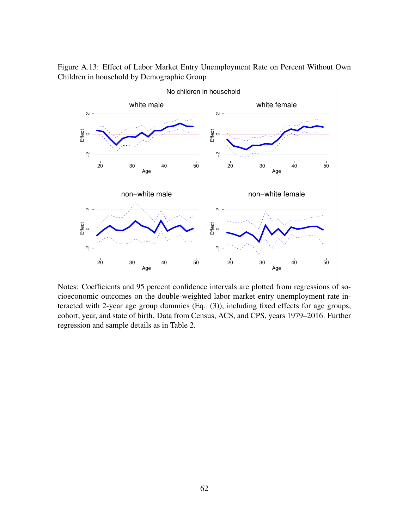Figure A.13: Effect of Labor Market Entry Unemployment Rate on Percent Without Own Children in household by Demographic Group



Notes: Coefficients and 95 percent confidence intervals are plotted from regressions of socioeconomic outcomes on the double-weighted labor market entry unemployment rate interacted with 2-year age group dummies (Eq. (3)), including fixed effects for age groups, cohort, year, and state of birth. Data from Census, ACS, and CPS, years 1979–2016. Further regression and sample details as in Table 2.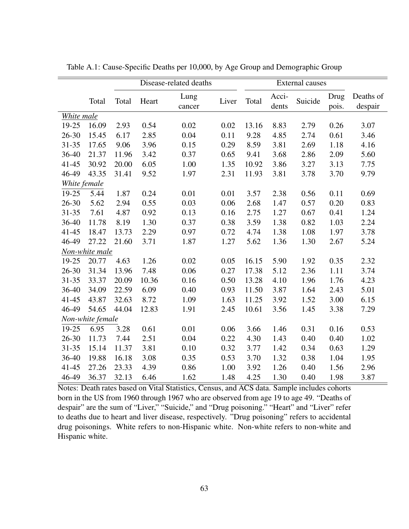|              |                  |       | Disease-related deaths |                |       |       | <b>External causes</b> |         |               |                      |
|--------------|------------------|-------|------------------------|----------------|-------|-------|------------------------|---------|---------------|----------------------|
|              | Total            | Total | Heart                  | Lung<br>cancer | Liver | Total | Acci-<br>dents         | Suicide | Drug<br>pois. | Deaths of<br>despair |
| White male   |                  |       |                        |                |       |       |                        |         |               |                      |
| 19-25        | 16.09            | 2.93  | 0.54                   | 0.02           | 0.02  | 13.16 | 8.83                   | 2.79    | 0.26          | 3.07                 |
| $26 - 30$    | 15.45            | 6.17  | 2.85                   | 0.04           | 0.11  | 9.28  | 4.85                   | 2.74    | 0.61          | 3.46                 |
| $31 - 35$    | 17.65            | 9.06  | 3.96                   | 0.15           | 0.29  | 8.59  | 3.81                   | 2.69    | 1.18          | 4.16                 |
| 36-40        | 21.37            | 11.96 | 3.42                   | 0.37           | 0.65  | 9.41  | 3.68                   | 2.86    | 2.09          | 5.60                 |
| $41 - 45$    | 30.92            | 20.00 | 6.05                   | 1.00           | 1.35  | 10.92 | 3.86                   | 3.27    | 3.13          | 7.75                 |
| 46-49        | 43.35            | 31.41 | 9.52                   | 1.97           | 2.31  | 11.93 | 3.81                   | 3.78    | 3.70          | 9.79                 |
| White female |                  |       |                        |                |       |       |                        |         |               |                      |
| 19-25        | 5.44             | 1.87  | 0.24                   | 0.01           | 0.01  | 3.57  | 2.38                   | 0.56    | 0.11          | 0.69                 |
| $26 - 30$    | 5.62             | 2.94  | 0.55                   | 0.03           | 0.06  | 2.68  | 1.47                   | 0.57    | 0.20          | 0.83                 |
| $31 - 35$    | 7.61             | 4.87  | 0.92                   | 0.13           | 0.16  | 2.75  | 1.27                   | 0.67    | 0.41          | 1.24                 |
| 36-40        | 11.78            | 8.19  | 1.30                   | 0.37           | 0.38  | 3.59  | 1.38                   | 0.82    | 1.03          | 2.24                 |
| $41 - 45$    | 18.47            | 13.73 | 2.29                   | 0.97           | 0.72  | 4.74  | 1.38                   | 1.08    | 1.97          | 3.78                 |
| 46-49        | 27.22            | 21.60 | 3.71                   | 1.87           | 1.27  | 5.62  | 1.36                   | 1.30    | 2.67          | 5.24                 |
|              | Non-white male   |       |                        |                |       |       |                        |         |               |                      |
| 19-25        | 20.77            | 4.63  | 1.26                   | 0.02           | 0.05  | 16.15 | 5.90                   | 1.92    | 0.35          | 2.32                 |
| $26 - 30$    | 31.34            | 13.96 | 7.48                   | 0.06           | 0.27  | 17.38 | 5.12                   | 2.36    | 1.11          | 3.74                 |
| $31 - 35$    | 33.37            | 20.09 | 10.36                  | 0.16           | 0.50  | 13.28 | 4.10                   | 1.96    | 1.76          | 4.23                 |
| 36-40        | 34.09            | 22.59 | 6.09                   | 0.40           | 0.93  | 11.50 | 3.87                   | 1.64    | 2.43          | 5.01                 |
| $41 - 45$    | 43.87            | 32.63 | 8.72                   | 1.09           | 1.63  | 11.25 | 3.92                   | 1.52    | 3.00          | 6.15                 |
| 46-49        | 54.65            | 44.04 | 12.83                  | 1.91           | 2.45  | 10.61 | 3.56                   | 1.45    | 3.38          | 7.29                 |
|              | Non-white female |       |                        |                |       |       |                        |         |               |                      |
| 19-25        | 6.95             | 3.28  | 0.61                   | 0.01           | 0.06  | 3.66  | 1.46                   | 0.31    | 0.16          | 0.53                 |
| $26 - 30$    | 11.73            | 7.44  | 2.51                   | 0.04           | 0.22  | 4.30  | 1.43                   | 0.40    | 0.40          | 1.02                 |
| $31 - 35$    | 15.14            | 11.37 | 3.81                   | 0.10           | 0.32  | 3.77  | 1.42                   | 0.34    | 0.63          | 1.29                 |
| 36-40        | 19.88            | 16.18 | 3.08                   | 0.35           | 0.53  | 3.70  | 1.32                   | 0.38    | 1.04          | 1.95                 |
| $41 - 45$    | 27.26            | 23.33 | 4.39                   | 0.86           | 1.00  | 3.92  | 1.26                   | 0.40    | 1.56          | 2.96                 |
| 46-49        | 36.37            | 32.13 | 6.46                   | 1.62           | 1.48  | 4.25  | 1.30                   | 0.40    | 1.98          | 3.87                 |

Table A.1: Cause-Specific Deaths per 10,000, by Age Group and Demographic Group

Notes: Death rates based on Vital Statistics, Census, and ACS data. Sample includes cohorts born in the US from 1960 through 1967 who are observed from age 19 to age 49. "Deaths of despair" are the sum of "Liver," "Suicide," and "Drug poisoning." "Heart" and "Liver" refer to deaths due to heart and liver disease, respectively. "Drug poisoning" refers to accidental drug poisonings. White refers to non-Hispanic white. Non-white refers to non-white and Hispanic white.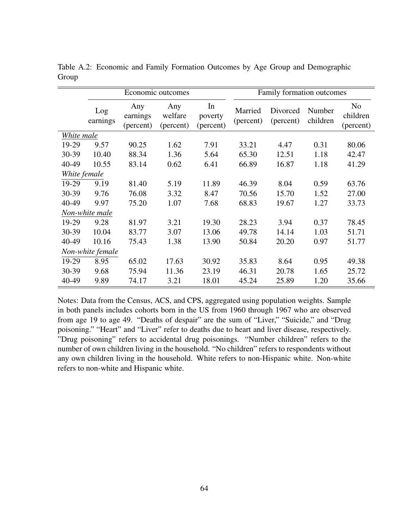|              |                  |                              | Economic outcomes           |                            | Family formation outcomes |                       |                    |                                         |
|--------------|------------------|------------------------------|-----------------------------|----------------------------|---------------------------|-----------------------|--------------------|-----------------------------------------|
|              | Log<br>earnings  | Any<br>earnings<br>(percent) | Any<br>welfare<br>(percent) | In<br>poverty<br>(percent) | Married<br>(percent)      | Divorced<br>(percent) | Number<br>children | N <sub>o</sub><br>children<br>(percent) |
| White male   |                  |                              |                             |                            |                           |                       |                    |                                         |
| 19-29        | 9.57             | 90.25                        | 1.62                        | 7.91                       | 33.21                     | 4.47                  | 0.31               | 80.06                                   |
| 30-39        | 10.40            | 88.34                        | 1.36                        | 5.64                       | 65.30                     | 12.51                 | 1.18               | 42.47                                   |
| 40-49        | 10.55            | 83.14                        | 0.62                        | 6.41                       | 66.89                     | 16.87                 | 1.18               | 41.29                                   |
| White female |                  |                              |                             |                            |                           |                       |                    |                                         |
| 19-29        | 9.19             | 81.40                        | 5.19                        | 11.89                      | 46.39                     | 8.04                  | 0.59               | 63.76                                   |
| 30-39        | 9.76             | 76.08                        | 3.32                        | 8.47                       | 70.56                     | 15.70                 | 1.52               | 27.00                                   |
| 40-49        | 9.97             | 75.20                        | 1.07                        | 7.68                       | 68.83                     | 19.67                 | 1.27               | 33.73                                   |
|              | Non-white male   |                              |                             |                            |                           |                       |                    |                                         |
| 19-29        | 9.28             | 81.97                        | 3.21                        | 19.30                      | 28.23                     | 3.94                  | 0.37               | 78.45                                   |
| 30-39        | 10.04            | 83.77                        | 3.07                        | 13.06                      | 49.78                     | 14.14                 | 1.03               | 51.71                                   |
| 40-49        | 10.16            | 75.43                        | 1.38                        | 13.90                      | 50.84                     | 20.20                 | 0.97               | 51.77                                   |
|              | Non-white female |                              |                             |                            |                           |                       |                    |                                         |
| 19-29        | 8.95             | 65.02                        | 17.63                       | 30.92                      | 35.83                     | 8.64                  | 0.95               | 49.38                                   |
| 30-39        | 9.68             | 75.94                        | 11.36                       | 23.19                      | 46.31                     | 20.78                 | 1.65               | 25.72                                   |
| 40-49        | 9.89             | 74.17                        | 3.21                        | 18.01                      | 45.24                     | 25.89                 | 1.20               | 35.66                                   |

Table A.2: Economic and Family Formation Outcomes by Age Group and Demographic Group

Notes: Data from the Census, ACS, and CPS, aggregated using population weights. Sample in both panels includes cohorts born in the US from 1960 through 1967 who are observed from age 19 to age 49. "Deaths of despair" are the sum of "Liver," "Suicide," and "Drug poisoning." "Heart" and "Liver" refer to deaths due to heart and liver disease, respectively. "Drug poisoning" refers to accidental drug poisonings. "Number children" refers to the number of own children living in the household. "No children" refers to respondents without any own children living in the household. White refers to non-Hispanic white. Non-white refers to non-white and Hispanic white.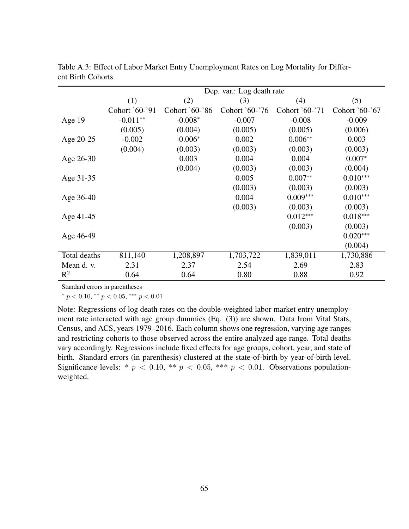|              | Dep. var.: Log death rate |                |                |                |                |  |  |  |
|--------------|---------------------------|----------------|----------------|----------------|----------------|--|--|--|
|              | (1)                       | (2)            | (3)            | (4)            | (5)            |  |  |  |
|              | Cohort '60-'91            | Cohort '60-'86 | Cohort '60-'76 | Cohort '60-'71 | Cohort '60-'67 |  |  |  |
| Age 19       | $-0.011**$                | $-0.008*$      | $-0.007$       | $-0.008$       | $-0.009$       |  |  |  |
|              | (0.005)                   | (0.004)        | (0.005)        | (0.005)        | (0.006)        |  |  |  |
| Age 20-25    | $-0.002$                  | $-0.006*$      | 0.002          | $0.006**$      | 0.003          |  |  |  |
|              | (0.004)                   | (0.003)        | (0.003)        | (0.003)        | (0.003)        |  |  |  |
| Age 26-30    |                           | 0.003          | 0.004          | 0.004          | $0.007*$       |  |  |  |
|              |                           | (0.004)        | (0.003)        | (0.003)        | (0.004)        |  |  |  |
| Age 31-35    |                           |                | 0.005          | $0.007**$      | $0.010***$     |  |  |  |
|              |                           |                | (0.003)        | (0.003)        | (0.003)        |  |  |  |
| Age 36-40    |                           |                | 0.004          | $0.009***$     | $0.010***$     |  |  |  |
|              |                           |                | (0.003)        | (0.003)        | (0.003)        |  |  |  |
| Age 41-45    |                           |                |                | $0.012***$     | $0.018***$     |  |  |  |
|              |                           |                |                | (0.003)        | (0.003)        |  |  |  |
| Age 46-49    |                           |                |                |                | $0.020***$     |  |  |  |
|              |                           |                |                |                | (0.004)        |  |  |  |
| Total deaths | 811,140                   | 1,208,897      | 1,703,722      | 1,839,011      | 1,730,886      |  |  |  |
| Mean d. v.   | 2.31                      | 2.37           | 2.54           | 2.69           | 2.83           |  |  |  |
| $R^2$        | 0.64                      | 0.64           | 0.80           | 0.88           | 0.92           |  |  |  |

Table A.3: Effect of Labor Market Entry Unemployment Rates on Log Mortality for Different Birth Cohorts

Standard errors in parentheses

\*  $p < 0.10$ , \*\*  $p < 0.05$ , \*\*\*  $p < 0.01$ 

Note: Regressions of log death rates on the double-weighted labor market entry unemployment rate interacted with age group dummies (Eq. (3)) are shown. Data from Vital Stats, Census, and ACS, years 1979–2016. Each column shows one regression, varying age ranges and restricting cohorts to those observed across the entire analyzed age range. Total deaths vary accordingly. Regressions include fixed effects for age groups, cohort, year, and state of birth. Standard errors (in parenthesis) clustered at the state-of-birth by year-of-birth level. Significance levels: \*  $p < 0.10$ , \*\*  $p < 0.05$ , \*\*\*  $p < 0.01$ . Observations populationweighted.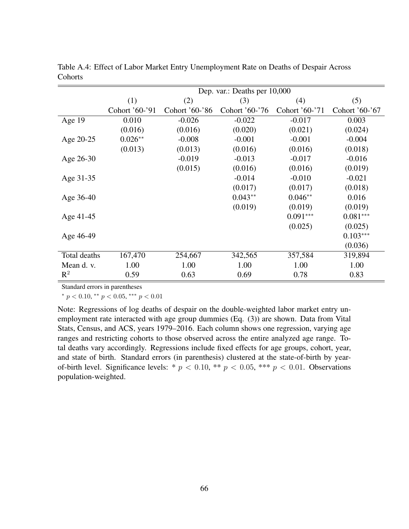|              | Dep. var.: Deaths per 10,000 |                |                |                |                |  |  |  |
|--------------|------------------------------|----------------|----------------|----------------|----------------|--|--|--|
|              | (1)                          | (2)            | (3)            | (4)            | (5)            |  |  |  |
|              | Cohort '60-'91               | Cohort '60-'86 | Cohort '60-'76 | Cohort '60-'71 | Cohort '60-'67 |  |  |  |
| Age 19       | 0.010                        | $-0.026$       | $-0.022$       | $-0.017$       | 0.003          |  |  |  |
|              | (0.016)                      | (0.016)        | (0.020)        | (0.021)        | (0.024)        |  |  |  |
| Age 20-25    | $0.026**$                    | $-0.008$       | $-0.001$       | $-0.001$       | $-0.004$       |  |  |  |
|              | (0.013)                      | (0.013)        | (0.016)        | (0.016)        | (0.018)        |  |  |  |
| Age 26-30    |                              | $-0.019$       | $-0.013$       | $-0.017$       | $-0.016$       |  |  |  |
|              |                              | (0.015)        | (0.016)        | (0.016)        | (0.019)        |  |  |  |
| Age 31-35    |                              |                | $-0.014$       | $-0.010$       | $-0.021$       |  |  |  |
|              |                              |                | (0.017)        | (0.017)        | (0.018)        |  |  |  |
| Age 36-40    |                              |                | $0.043**$      | $0.046**$      | 0.016          |  |  |  |
|              |                              |                | (0.019)        | (0.019)        | (0.019)        |  |  |  |
| Age 41-45    |                              |                |                | $0.091***$     | $0.081***$     |  |  |  |
|              |                              |                |                | (0.025)        | (0.025)        |  |  |  |
| Age 46-49    |                              |                |                |                | $0.103***$     |  |  |  |
|              |                              |                |                |                | (0.036)        |  |  |  |
| Total deaths | 167,470                      | 254,667        | 342,565        | 357,584        | 319,894        |  |  |  |
| Mean d. v.   | 1.00                         | 1.00           | 1.00           | 1.00           | 1.00           |  |  |  |
| $R^2$        | 0.59                         | 0.63           | 0.69           | 0.78           | 0.83           |  |  |  |

Table A.4: Effect of Labor Market Entry Unemployment Rate on Deaths of Despair Across Cohorts

Standard errors in parentheses

\*  $p < 0.10$ , \*\*  $p < 0.05$ , \*\*\*  $p < 0.01$ 

Note: Regressions of log deaths of despair on the double-weighted labor market entry unemployment rate interacted with age group dummies (Eq. (3)) are shown. Data from Vital Stats, Census, and ACS, years 1979–2016. Each column shows one regression, varying age ranges and restricting cohorts to those observed across the entire analyzed age range. Total deaths vary accordingly. Regressions include fixed effects for age groups, cohort, year, and state of birth. Standard errors (in parenthesis) clustered at the state-of-birth by yearof-birth level. Significance levels: \*  $p < 0.10$ , \*\*  $p < 0.05$ , \*\*\*  $p < 0.01$ . Observations population-weighted.